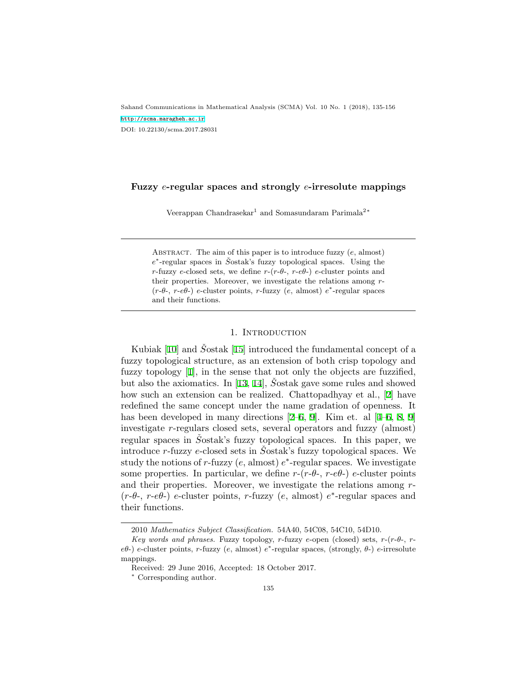Sahand Communications in Mathematical Analysis (SCMA) Vol. 10 No. 1 (2018), 135-156 <http://scma.maragheh.ac.ir> DOI: 10.22130/scma.2017.28031

## **Fuzzy** *e***-regular spaces and strongly** *e***-irresolute mappings**

Veerappan Chandrasekar<sup>1</sup> and Somasundaram Parimala<sup>2</sup><sup>∗</sup>

Abstract. The aim of this paper is to introduce fuzzy (*e*, almost) *e*<sup>\*</sup>-regular spaces in *Š*ostak's fuzzy topological spaces. Using the *r*-fuzzy *e*-closed sets, we define  $r-(r-\theta - r-\theta)$  *e*-cluster points and their properties. Moreover, we investigate the relations among *r*- (*r*-*θ*-, *r*-*eθ*-) *e*-cluster points, *r*-fuzzy (*e*, almost) *e ∗* -regular spaces and their functions.

### 1. INTRODUCTION

Kubiak[[10\]](#page-21-0) and *S*<sup>ostak</sup> [[15\]](#page-21-1) introduced the fundamental concept of a fuzzy topological structure, as an extension of both crisp topology and fuzzy topology[[1](#page-20-0)], in the sense that not only the objects are fuzzified, butalso the axiomatics. In [[13](#page-21-2), [14](#page-21-3)], Sostak gave some rules and showed how such an extension can be realized. Chattopadhyay et al.,[[2](#page-20-1)] have redefined the same concept under the name gradation of openness. It hasbeen developed in many directions [[2](#page-20-1)–[6](#page-20-2), [9](#page-21-4)]. Kim et. al [[4](#page-20-3)–6, [8,](#page-21-5) [9\]](#page-21-4) investigate *r*-regulars closed sets, several operators and fuzzy (almost) regular spaces in *S*<sup>ostak's</sup> fuzzy topological spaces. In this paper, we introduce *r*-fuzzy *e*-closed sets in *S*<sup>ostak's fuzzy topological spaces. We</sup> study the notions of *r*-fuzzy (*e*, almost) *e ∗* -regular spaces. We investigate some properties. In particular, we define  $r-(r-\theta - r-\theta)$  *e*-cluster points and their properties. Moreover, we investigate the relations among *r*- (*r*-*θ*-, *r*-*eθ*-) *e*-cluster points, *r*-fuzzy (*e*, almost) *e ∗* -regular spaces and their functions.

<sup>2010</sup> *Mathematics Subject Classification.* 54A40, 54C08, 54C10, 54D10.

*Key words and phrases.* Fuzzy topology, *r*-fuzzy *e*-open (closed) sets, *r*-(*r*-*θ*-, *reθ*-) *e*-cluster points, *r*-fuzzy (*e*, almost) *e ∗* -regular spaces, (strongly, *θ*-) *e*-irresolute mappings.

Received: 29 June 2016, Accepted: 18 October 2017.

*<sup>∗</sup>* Corresponding author.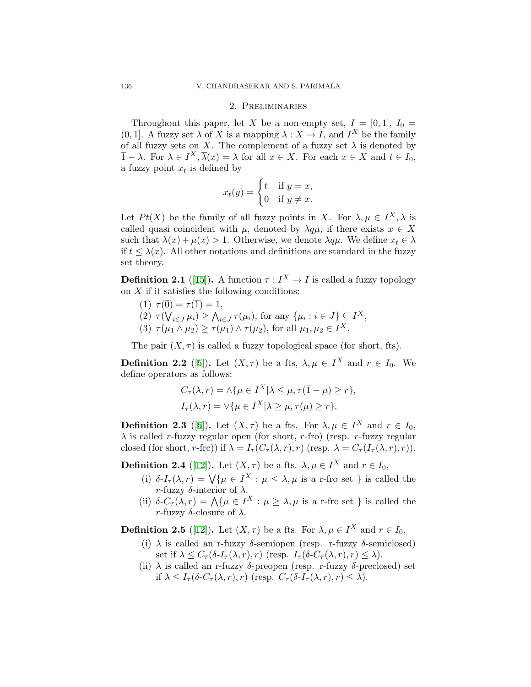# 2. Preliminaries

Throughout this paper, let *X* be a non-empty set,  $I = [0, 1], I_0 =$  $(0, 1]$ . A fuzzy set  $\lambda$  of *X* is a mapping  $\lambda : X \to I$ , and  $I^X$  be the family of all fuzzy sets on *X*. The complement of a fuzzy set  $\lambda$  is denoted by  $\overline{1} - \lambda$ . For  $\lambda \in I^X, \overline{\lambda}(x) = \lambda$  for all  $x \in X$ . For each  $x \in X$  and  $t \in I_0$ , a fuzzy point  $x_t$  is defined by

$$
x_t(y) = \begin{cases} t & \text{if } y = x, \\ 0 & \text{if } y \neq x. \end{cases}
$$

Let  $Pt(X)$  be the family of all fuzzy points in *X*. For  $\lambda, \mu \in I^X, \lambda$  is called quasi coincident with  $\mu$ , denoted by  $\lambda q\mu$ , if there exists  $x \in X$ such that  $\lambda(x) + \mu(x) > 1$ . Otherwise, we denote  $\lambda \overline{q} \mu$ . We define  $x_t \in \lambda$ if  $t \leq \lambda(x)$ . All other notations and definitions are standard in the fuzzy set theory.

**Definition 2.1** ([[15\]](#page-21-1)). A function  $\tau: I^X \to I$  is called a fuzzy topology on *X* if it satisfies the following conditions:

- (1)  $\tau(\overline{0}) = \tau(\overline{1}) = 1$ ,
- $(2)$   $\tau(\bigvee_{i \in J} \mu_i) \ge \bigwedge_{i \in J} \tau(\mu_i)$ , for any  $\{\mu_i : i \in J\} \subseteq I^X$ ,
- (3)  $\tau(\mu_1 \wedge \mu_2) \ge \tau(\mu_1) \wedge \tau(\mu_2)$ , for all  $\mu_1, \mu_2 \in I^X$ .

The pair  $(X, \tau)$  is called a fuzzy topological space (for short, fts).

**Definition 2.2** ([[5](#page-20-4)]). Let  $(X, \tau)$  be a fts,  $\lambda, \mu \in I^X$  and  $r \in I_0$ . We define operators as follows:

$$
C_{\tau}(\lambda, r) = \Lambda \{ \mu \in I^X | \lambda \le \mu, \tau(\overline{1} - \mu) \ge r \},
$$
  

$$
I_{\tau}(\lambda, r) = \vee \{ \mu \in I^X | \lambda \ge \mu, \tau(\mu) \ge r \}.
$$

**Definition 2.3** ([[5](#page-20-4)]). Let  $(X, \tau)$  be a fts. For  $\lambda, \mu \in I^X$  and  $r \in I_0$ , *λ* is called *r*-fuzzy regular open (for short, *r*-fro) (resp. *r*-fuzzy regular closed (for short, *r*-frc)) if  $\lambda = I_\tau(C_\tau(\lambda, r), r)$  (resp.  $\lambda = C_\tau(I_\tau(\lambda, r), r)$ ).

**Definition 2.4** ([[12](#page-21-6)]). Let  $(X, \tau)$  be a fts.  $\lambda, \mu \in I^X$  and  $r \in I_0$ ,

- (i)  $\delta$ -*I<sub>τ</sub>*( $\lambda$ ,  $r$ ) =  $\sqrt{\{\mu \in I^X : \mu \leq \lambda, \mu \text{ is a r-fro set } \}}$  is called the *r*-fuzzy *δ*-interior of *λ*.
- (ii)  $\delta$ - $C_{\tau}(\lambda, r) = \Lambda \{ \mu \in I^X : \mu \geq \lambda, \mu \text{ is a r-frc set } \}$  is called the *r*-fuzzy *δ*-closure of *λ*.

**Definition 2.5** ([[12](#page-21-6)]). Let  $(X, \tau)$  be a fts. For  $\lambda, \mu \in I^X$  and  $r \in I_0$ ,

- (i)  $\lambda$  is called an r-fuzzy  $\delta$ -semiopen (resp. r-fuzzy  $\delta$ -semiclosed) set if  $\lambda \leq C_{\tau}(\delta I_{\tau}(\lambda, r), r)$  (resp.  $I_{\tau}(\delta C_{\tau}(\lambda, r), r) \leq \lambda$ ).
- (ii)  $\lambda$  is called an r-fuzzy  $\delta$ -preopen (resp. r-fuzzy  $\delta$ -preclosed) set if  $\lambda \leq I_{\tau}(\delta C_{\tau}(\lambda, r), r)$  (resp.  $C_{\tau}(\delta I_{\tau}(\lambda, r), r) \leq \lambda$ ).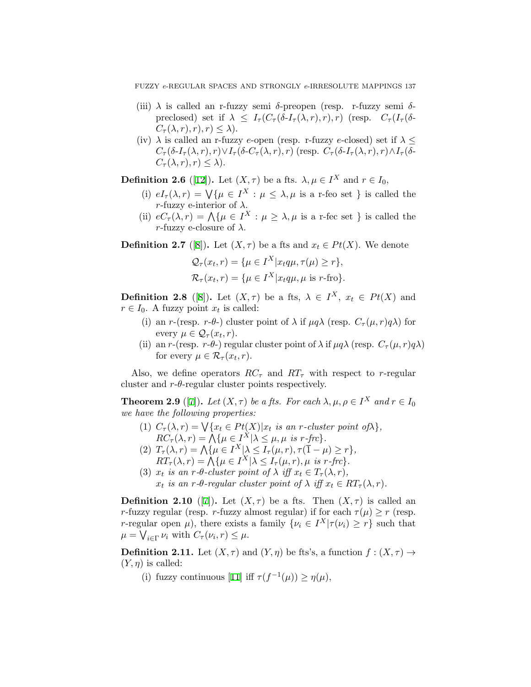FUZZY *e*-REGULAR SPACES AND STRONGLY *e*-IRRESOLUTE MAPPINGS 137

- (iii) *λ* is called an r-fuzzy semi *δ*-preopen (resp. r-fuzzy semi *δ*preclosed) set if  $\lambda \leq I_\tau(C_\tau(\delta I_\tau(\lambda, r), r), r)$  (resp.  $C_\tau(I_\tau(\delta$ - $C_{\tau}(\lambda, r), r$ ,  $r$ )  $\leq \lambda$ ).
- (iv)  $\lambda$  is called an r-fuzzy *e*-open (resp. r-fuzzy *e*-closed) set if  $\lambda \leq$  $C_{\tau}(\delta I_{\tau}(\lambda,r),r) \vee I_{\tau}(\delta C_{\tau}(\lambda,r),r)$  (resp.  $C_{\tau}(\delta I_{\tau}(\lambda,r),r) \wedge I_{\tau}(\delta$ - $C_{\tau}(\lambda, r), r \leq \lambda$ ).

**Definition 2.6** ([[12](#page-21-6)]). Let  $(X, \tau)$  be a fts.  $\lambda, \mu \in I^X$  and  $r \in I_0$ ,

- (i)  $eI_{\tau}(\lambda, r) = \sqrt{\{\mu \in I^X : \mu \leq \lambda, \mu \text{ is a r-feo set }\}}$  is called the *r*-fuzzy e-interior of  $\lambda$ .
- (ii)  $eC_{\tau}(\lambda, r) = \bigwedge \{ \mu \in I^X : \mu \geq \lambda, \mu \text{ is a r-fcc set } \}$  is called the *r*-fuzzy e-closure of  $\lambda$ .

**Definition 2.7** ([[8](#page-21-5)]). Let  $(X, \tau)$  be a fts and  $x_t \in Pt(X)$ . We denote

$$
Q_{\tau}(x_t, r) = \{\mu \in I^X | x_t q \mu, \tau(\mu) \ge r\},\
$$

$$
\mathcal{R}_{\tau}(x_t, r) = \{\mu \in I^X | x_t q \mu, \mu \text{ is } r\text{-fro}\}.
$$

**Definition 2.[8](#page-21-5)** ([8]). Let  $(X, \tau)$  be a fts,  $\lambda \in I^X$ ,  $x_t \in Pt(X)$  and  $r \in I_0$ . A fuzzy point  $x_t$  is called:

- (i) an *r*-(resp. *r*-*θ*-) cluster point of  $\lambda$  if  $\mu q \lambda$  (resp.  $C_{\tau}(\mu, r)q\lambda$ ) for every  $\mu \in \mathcal{Q}_{\tau}(x_t, r)$ .
- (ii) an *r*-(resp. *r*-*θ*-) regular cluster point of  $\lambda$  if  $\mu q \lambda$  (resp.  $C_{\tau}(\mu, r)q\lambda$ ) for every  $\mu \in \mathcal{R}_{\tau}(x_t, r)$ .

Also, we define operators  $RC<sub>\tau</sub>$  and  $RT<sub>\tau</sub>$  with respect to *r*-regular cluster and  $r$ - $\theta$ -regular cluster points respectively.

**Theorem 2.9** ([\[7\]](#page-21-7)). Let  $(X, \tau)$  be a fts. For each  $\lambda, \mu, \rho \in I^X$  and  $r \in I_0$ *we have the following properties:*

- (1)  $C_{\tau}(\lambda, r) = \bigvee \{x_t \in Pt(X)|x_t \text{ is an } r\text{-cluster point of }\lambda\},$  $RC_{\tau}(\lambda, r) = \bigwedge \{ \mu \in I^X | \lambda \leq \mu, \mu \text{ is } r\text{-}frc \}.$
- $(T_7(\lambda, r) = \Lambda \{ \mu \in I^X | \lambda \leq I_\tau(\mu, r), \tau(\overline{1} \mu) \geq r \},$  $RT_{\tau}(\lambda, r) = \bigwedge \{ \mu \in I^X | \lambda \leq I_{\tau}(\mu, r), \mu \text{ is } r\text{-}frc \}.$
- (3)  $x_t$  *is an r-* $\theta$ *-cluster point of*  $\lambda$  *iff*  $x_t \in T_\tau(\lambda, r)$ ,  $x_t$  *is an*  $r$ *-θ-regular cluster point of*  $\lambda$  *iff*  $x_t \in RT_\tau(\lambda, r)$ *.*

**Definition 2.10** ([[7](#page-21-7)]). Let  $(X, \tau)$  be a fts. Then  $(X, \tau)$  is called an *r*-fuzzy regular (resp. *r*-fuzzy almost regular) if for each  $\tau(\mu) > r$  (resp. *r*-regular open  $\mu$ ), there exists a family  $\{\nu_i \in I^X | \tau(\nu_i) \geq r\}$  such that  $\mu = \bigvee_{i \in \Gamma} \nu_i$  with  $C_{\tau}(\nu_i, r) \leq \mu$ .

**Definition 2.11.** Let  $(X, \tau)$  and  $(Y, \eta)$  be fts's, a function  $f : (X, \tau) \rightarrow$  $(Y, \eta)$  is called:

(i)fuzzy continuous [[11\]](#page-21-8) iff  $\tau(f^{-1}(\mu)) \geq \eta(\mu)$ ,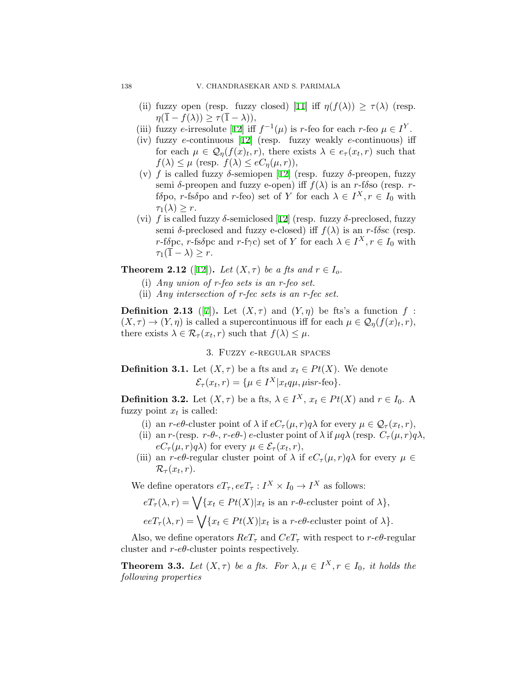- (ii) fuzzy open (resp. fuzzy closed) [\[11](#page-21-8)] iff  $\eta(f(\lambda)) \geq \tau(\lambda)$  (resp.  $\eta(\overline{1} - f(\lambda)) \geq \tau(\overline{1} - \lambda)$ ),
- (iii)fuzzy *e*-irresolute [[12\]](#page-21-6) iff  $f^{-1}(\mu)$  is *r*-feo for each *r*-feo  $\mu \in I^Y$ .
- (iv) fuzzy *e*-continuous[[12\]](#page-21-6) (resp. fuzzy weakly *e*-continuous) iff for each  $\mu \in \mathcal{Q}_{\eta}(f(x), r)$ , there exists  $\lambda \in e_{\tau}(x_t, r)$  such that  $f(\lambda) \leq \mu$  (resp.  $f(\lambda) \leq eC_n(\mu, r)$ ),
- (v) *f* is called fuzzy *δ*-semiopen[[12](#page-21-6)] (resp. fuzzy *δ*-preopen, fuzzy semi *δ*-preopen and fuzzy e-open) iff  $f(λ)$  is an *r*-f*δ*so (resp. *rf* $\delta$ po, *r*-fs $\delta$ po and *r*-feo) set of *Y* for each  $\lambda \in I^X, r \in I_0$  with  $\tau_1(\lambda) > r$ .
- (vi) $f$  is called fuzzy  $\delta$ -semiclosed [[12\]](#page-21-6) (resp. fuzzy  $\delta$ -preclosed, fuzzy semi  $\delta$ -preclosed and fuzzy e-closed) if  $f(\lambda)$  is an *r*-f $\delta$ sc (resp. *r*-f*δ*pc, *r*-fs*δ*pc and *r*-f*γ*c) set of *Y* for each  $\lambda \in I^X, r \in I_0$  with  $\tau_1(\overline{1} - \lambda) \geq r$ .

<span id="page-3-0"></span>**Theorem 2.[12](#page-21-6)** ([12]). Let  $(X, \tau)$  be a fts and  $r \in I_o$ .

- (i) *Any union of r-feo sets is an r-feo set.*
- (ii) *Any intersection of r-fec sets is an r-fec set.*

**Definition 2.13** ([[7](#page-21-7)]). Let  $(X, \tau)$  and  $(Y, \eta)$  be fts's a function  $f$ :  $(X, \tau) \to (Y, \eta)$  is called a supercontinuous iff for each  $\mu \in \mathcal{Q}_{\eta}(f(x), r)$ , there exists  $\lambda \in \mathcal{R}_{\tau}(x_t, r)$  such that  $f(\lambda) \leq \mu$ .

3. Fuzzy *e*-regular spaces

**Definition 3.1.** Let  $(X, \tau)$  be a fts and  $x_t \in Pt(X)$ . We denote  $\mathcal{E}_{\tau}(x_t, r) = \{\mu \in I^X | x_t q \mu, \mu \text{is } r \text{-feo}\}.$ 

**Definition 3.2.** Let  $(X, \tau)$  be a fts,  $\lambda \in I^X$ ,  $x_t \in Pt(X)$  and  $r \in I_0$ . A fuzzy point  $x_t$  is called:

- (i) an *r*-*eθ*-cluster point of  $\lambda$  if  $eC_{\tau}(\mu, r)q\lambda$  for every  $\mu \in \mathcal{Q}_{\tau}(x_t, r)$ ,
- (ii) an *r*-(resp. *r*-*θ*-, *r*-*eθ*-) *e*-cluster point of  $\lambda$  if  $\mu q \lambda$  (resp.  $C_{\tau}(\mu, r)q\lambda$ ,  $eC_{\tau}(\mu, r)q\lambda$  for every  $\mu \in \mathcal{E}_{\tau}(x_t, r)$ ,
- (iii) an *r*- $e\theta$ -regular cluster point of  $\lambda$  if  $eC_{\tau}(\mu, r)q\lambda$  for every  $\mu \in$  $\mathcal{R}_{\tau}(x_t,r)$ .

We define operators  $eT_\tau, eeT_\tau: I^X \times I_0 \to I^X$  as follows:

 $eT_{\tau}(\lambda, r) = \bigvee \{x_t \in Pt(X)|x_t \text{ is an } r \text{-}\theta\text{-}ecluster point of } \lambda\},$  $eeT_{\tau}(\lambda, r) = \bigvee \{x_t \in Pt(X)|x_t \text{ is a } r \text{-} e\theta \text{-}ecluster point of } \lambda \}.$ 

Also, we define operators  $ReT_\tau$  and  $CeT_\tau$  with respect to  $r$ - $e\theta$ -regular cluster and *r*-*eθ*-cluster points respectively.

<span id="page-3-1"></span>**Theorem 3.3.** Let  $(X, \tau)$  be a fts. For  $\lambda, \mu \in I^X, r \in I_0$ , it holds the *following properties*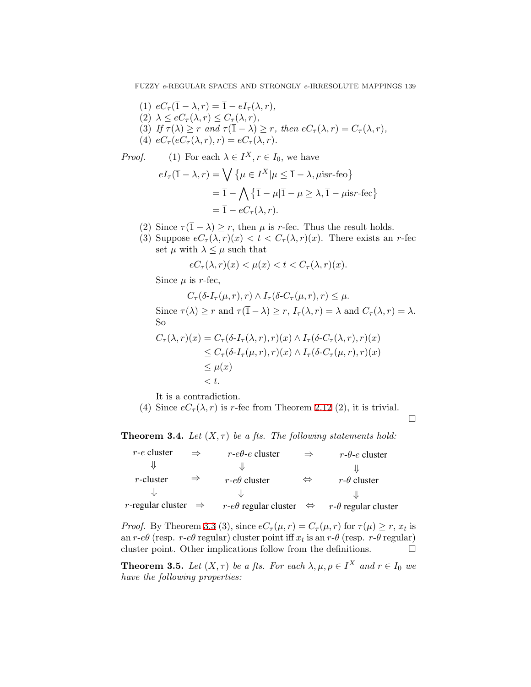FUZZY *e*-REGULAR SPACES AND STRONGLY *e*-IRRESOLUTE MAPPINGS 139

(1)  $eC_\tau(\overline{1} - \lambda, r) = \overline{1} - eI_\tau(\lambda, r)$ ,  $(2)$   $\lambda \leq eC_{\tau}(\lambda, r) \leq C_{\tau}(\lambda, r)$ , (3) If  $\tau(\lambda) \geq r$  and  $\tau(\overline{1} - \lambda) \geq r$ , then  $eC_{\tau}(\lambda, r) = C_{\tau}(\lambda, r)$ , (4)  $e^{c}C_{\tau}(e^{c}C_{\tau}(\lambda, r), r) = e^{c}C_{\tau}(\lambda, r).$ 

*Proof.* (1) For each  $\lambda \in I^X, r \in I_0$ , we have

$$
eI_{\tau}(\overline{1} - \lambda, r) = \bigvee \{ \mu \in I^X | \mu \le \overline{1} - \lambda, \mu \text{isr-feo} \}
$$
  
=  $\overline{1} - \bigwedge \{ \overline{1} - \mu | \overline{1} - \mu \ge \lambda, \overline{1} - \mu \text{isr-fec} \}$   
=  $\overline{1} - eC_{\tau}(\lambda, r).$ 

- (2) Since  $\tau(\overline{1} \lambda) \ge r$ , then  $\mu$  is *r*-fec. Thus the result holds.
- (3) Suppose  $eC_{\tau}(\lambda, r)(x) < t < C_{\tau}(\lambda, r)(x)$ . There exists an *r*-fec set  $\mu$  with  $\lambda \leq \mu$  such that

$$
eC_{\tau}(\lambda, r)(x) < \mu(x) < t < C_{\tau}(\lambda, r)(x).
$$

Since  $\mu$  is *r*-fec,

 $C_{\tau}(\delta I_{\tau}(\mu, r), r) \wedge I_{\tau}(\delta C_{\tau}(\mu, r), r) \leq \mu.$ Since  $\tau(\lambda) \geq r$  and  $\tau(\overline{1} - \lambda) \geq r$ ,  $I_{\tau}(\lambda, r) = \lambda$  and  $C_{\tau}(\lambda, r) = \lambda$ . So  $C_{\tau}(\lambda, r)(x) = C_{\tau}(\delta I_{\tau}(\lambda, r), r)(x) \wedge I_{\tau}(\delta C_{\tau}(\lambda, r), r)(x)$  $\leq C_{\tau}(\delta I_{\tau}(\mu, r), r)(x) \wedge I_{\tau}(\delta C_{\tau}(\mu, r), r)(x)$  $≤$   $\mu(x)$ *< t.*

It is a contradiction.

(4) Since  $eC_\tau(\lambda, r)$  is *r*-fec from Theorem [2.12](#page-3-0) (2), it is trivial.

□

<span id="page-4-0"></span>**Theorem 3.4.** *Let*  $(X, \tau)$  *be a fts. The following statements hold:* 

| $r$ - $e$ cluster    | $\Rightarrow$ | $r$ -e $\theta$ -e cluster      | $\Rightarrow$     | $r$ - $\theta$ -e cluster  |
|----------------------|---------------|---------------------------------|-------------------|----------------------------|
|                      |               |                                 |                   |                            |
| $r$ -cluster         | $\Rightarrow$ | $r$ -e $\theta$ cluster         | $\Leftrightarrow$ | $r-\theta$ cluster         |
|                      |               |                                 |                   |                            |
| $r$ -regular cluster | $\Rightarrow$ | $r$ -e $\theta$ regular cluster | $\Leftrightarrow$ | $r-\theta$ regular cluster |

*Proof.* By Theorem [3.3](#page-3-1) (3), since  $eC_{\tau}(\mu, r) = C_{\tau}(\mu, r)$  for  $\tau(\mu) \ge r$ ,  $x_t$  is an *r*- $e\theta$  (resp. *r*- $e\theta$  regular) cluster point iff  $x_t$  is an  $r$ - $\theta$  (resp. *r*- $\theta$  regular) cluster point. Other implications follow from the definitions.  $\Box$ 

<span id="page-4-1"></span>**Theorem 3.5.** Let  $(X, \tau)$  be a fts. For each  $\lambda, \mu, \rho \in I^X$  and  $r \in I_0$  we *have the following properties:*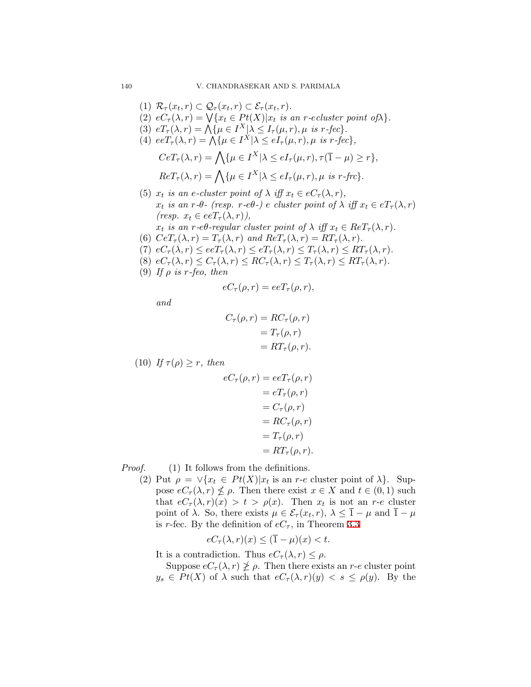$(1)$   $\mathcal{R}_{\tau}(x_t, r) \subset \mathcal{Q}_{\tau}(x_t, r) \subset \mathcal{E}_{\tau}(x_t, r).$ (2)  $eC_{\tau}(\lambda, r) = \sqrt{\{x_t \in Pt(X)|x_t \text{ is an } r\text{-}ecluster point of \lambda\}}.$ (3)  $eT_{\tau}(\lambda, r) = \bigwedge \{ \mu \in I^X | \lambda \leq I_{\tau}(\mu, r), \mu \text{ is } r\text{-}fcc \}.$ (4)  $eeT_{\tau}(\lambda, r) = \bigwedge \{ \mu \in I^X | \lambda \leq eI_{\tau}(\mu, r), \mu \text{ is } r\text{-}fcc \},\$  $C e T_{\tau}(\lambda, r) = \bigwedge \{ \mu \in I^X | \lambda \leq e I_{\tau}(\mu, r), \tau(\overline{1} - \mu) \geq r \},$  $Re T_{\tau}(\lambda, r) = \bigwedge \{ \mu \in I^X | \lambda \leq e I_{\tau}(\mu, r), \mu \text{ is } r \text{-}f r c \}.$ (5)  $x_t$  *is an e-cluster point of*  $\lambda$  *iff*  $x_t \in eC_\tau(\lambda, r)$ , *x*<sub>t</sub> is an *r*-*θ*<sup>-</sup> (resp. *r*-*eθ*<sup>-</sup>)</sub> *e cluster point of*  $\lambda$  *iff*  $x_t \in eT_\tau(\lambda, r)$  $(resp. x_t \in eeT_\tau(\lambda, r)),$  $x_t$  *is an r-eθ-regular cluster point of*  $\lambda$  *iff*  $x_t \in Re T_\tau(\lambda, r)$ *.* (6)  $CeT_{\tau}(\lambda, r) = T_{\tau}(\lambda, r)$  and  $ReT_{\tau}(\lambda, r) = RT_{\tau}(\lambda, r)$ .  $(7)$   $eC_{\tau}(\lambda, r) \leq eeT_{\tau}(\lambda, r) \leq eT_{\tau}(\lambda, r) \leq T_{\tau}(\lambda, r) \leq RT_{\tau}(\lambda, r).$ (8)  $eC_{\tau}(\lambda, r) \leq C_{\tau}(\lambda, r) \leq RC_{\tau}(\lambda, r) \leq T_{\tau}(\lambda, r) \leq RT_{\tau}(\lambda, r).$ (9) If  $\rho$  *is*  $r$ *-feo, then* 

$$
eC_{\tau}(\rho,r)=eeT_{\tau}(\rho,r),
$$

*and*

$$
C_{\tau}(\rho, r) = RC_{\tau}(\rho, r)
$$
  
=  $T_{\tau}(\rho, r)$   
=  $RT_{\tau}(\rho, r)$ .

(10) *If*  $\tau(\rho) \geq r$ *, then* 

$$
eC_{\tau}(\rho, r) = eeT_{\tau}(\rho, r)
$$
  
=  $eT_{\tau}(\rho, r)$   
=  $C_{\tau}(\rho, r)$   
=  $RC_{\tau}(\rho, r)$   
=  $T_{\tau}(\rho, r)$   
=  $RT_{\tau}(\rho, r)$ .

*Proof.* (1) It follows from the definitions.

(2) Put  $\rho = \sqrt{x_t \in Pt(X)}|x_t|$  is an *r*-*e* cluster point of  $\lambda$ . Suppose  $eC_{\tau}(\lambda, r) \nleq \rho$ . Then there exist  $x \in X$  and  $t \in (0, 1)$  such that  $eC_{\tau}(\lambda, r)(x) > t > \rho(x)$ . Then  $x_t$  is not an *r*-*e* cluster point of  $\lambda$ . So, there exists  $\mu \in \mathcal{E}_{\tau}(x_t, r)$ ,  $\lambda \leq \overline{1} - \mu$  and  $\overline{1} - \mu$ is *r*-fec. By the definition of  $eC_7$ , in Theorem [3.3](#page-3-1)

$$
eC_{\tau}(\lambda, r)(x) \leq (\overline{1} - \mu)(x) < t.
$$

It is a contradiction. Thus  $eC_{\tau}(\lambda, r) \leq \rho$ .

Suppose  $eC_{\tau}(\lambda, r) \not\geq \rho$ . Then there exists an *r*-*e* cluster point  $y_s \in Pt(X)$  of  $\lambda$  such that  $eC_\tau(\lambda, r)(y) < s \leq \rho(y)$ . By the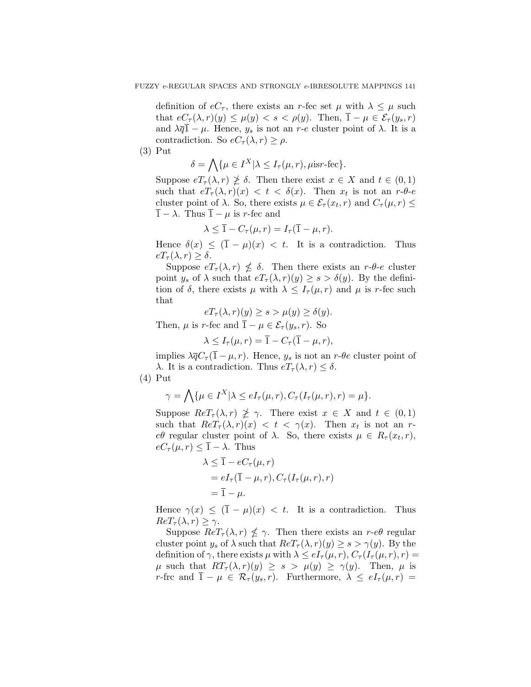definition of  $eC_\tau$ , there exists an *r*-fec set  $\mu$  with  $\lambda \leq \mu$  such that  $eC_{\tau}(\lambda, r)(y) \leq \mu(y) < s < \rho(y)$ . Then,  $\overline{1} - \mu \in \mathcal{E}_{\tau}(y_s, r)$ and  $\lambda \overline{q}$ <sup>1</sup> −  $\mu$ . Hence,  $y_s$  is not an *r*-*e* cluster point of  $\lambda$ . It is a contradiction. So  $eC_{\tau}(\lambda, r) \geq \rho$ .

(3) Put

$$
\delta = \bigwedge \{ \mu \in I^X | \lambda \leq I_\tau(\mu, r), \mu \text{isr-fec} \}.
$$

Suppose  $eT_{\tau}(\lambda, r) \not\geq \delta$ . Then there exist  $x \in X$  and  $t \in (0, 1)$ such that  $eT_{\tau}(\lambda, r)(x) < t < \delta(x)$ . Then  $x_t$  is not an  $r \cdot \theta$ -*e* cluster point of  $\lambda$ . So, there exists  $\mu \in \mathcal{E}_{\tau}(x_t, r)$  and  $C_{\tau}(\mu, r) \leq$  $\overline{1} - \lambda$ . Thus  $\overline{1} - \mu$  is *r*-fec and

$$
\lambda \leq \overline{1} - C_{\tau}(\mu, r) = I_{\tau}(\overline{1} - \mu, r).
$$

Hence  $\delta(x) \leq (\overline{1} - \mu)(x) < t$ . It is a contradiction. Thus  $eT_{\tau}(\lambda, r) \geq \delta$ .

Suppose  $eT_{\tau}(\lambda, r) \nleq \delta$ . Then there exists an  $r \cdot \theta \cdot e$  cluster point  $y_s$  of  $\lambda$  such that  $eT_\tau(\lambda, r)(y) \geq s > \delta(y)$ . By the definition of  $\delta$ , there exists  $\mu$  with  $\lambda \leq I_{\tau}(\mu, r)$  and  $\mu$  is *r*-fec such that

$$
eT_{\tau}(\lambda, r)(y) \ge s > \mu(y) \ge \delta(y).
$$
  

$$
\mu \text{ is } r\text{-fec and } \overline{1} - \mu \in \mathcal{E}_{\tau}(y_s, r). \text{ So}
$$

 $\lambda \leq I_{\tau}(\mu, r) = \overline{1} - C_{\tau}(\overline{1} - \mu, r),$ 

implies  $\lambda \overline{q} C_{\tau} (\overline{1} - \mu, r)$ . Hence,  $y_s$  is not an  $r$ - $\theta e$  cluster point of *λ*. It is a contradiction. Thus  $eT_\tau(\lambda, r) \leq \delta$ .

(4) Put

*Then,* 

$$
\gamma = \bigwedge \{ \mu \in I^X | \lambda \le eI_\tau(\mu, r), C_\tau(I_\tau(\mu, r), r) = \mu \}.
$$

Suppose  $Re T_{\tau}(\lambda, r) \not\geq \gamma$ . There exist  $x \in X$  and  $t \in (0, 1)$ such that  $Re T_{\tau}(\lambda, r)(x) < t < \gamma(x)$ . Then  $x_t$  is not an *reθ* regular cluster point of  $\lambda$ . So, there exists  $\mu \in R_{\tau}(x_t, r)$ ,  $eC_{\tau}(\mu, r) \leq \overline{1} - \lambda$ . Thus

$$
\lambda \leq \overline{1} - eC_{\tau}(\mu, r)
$$
  
=  $eI_{\tau}(\overline{1} - \mu, r), C_{\tau}(I_{\tau}(\mu, r), r)$   
=  $\overline{1} - \mu$ .

Hence  $\gamma(x) \leq (\overline{1} - \mu)(x) < t$ . It is a contradiction. Thus  $Re T_{\tau}(\lambda, r) \geq \gamma$ .

Suppose  $Re T_{\tau}(\lambda, r) \nleq \gamma$ . Then there exists an *r*-*eθ* regular cluster point *y<sub>s</sub>* of  $\lambda$  such that  $Re T_{\tau}(\lambda, r)(y) \geq s > \gamma(y)$ . By the definition of  $\gamma$ , there exists  $\mu$  with  $\lambda \leq eI_{\tau}(\mu, r), C_{\tau}(I_{\tau}(\mu, r), r) =$  $\mu$  such that  $RT_{\tau}(\lambda, r)(y) \geq s > \mu(y) \geq \gamma(y)$ . Then,  $\mu$  is *r*-frc and  $\overline{1} - \mu \in \mathcal{R}_{\tau}(y_s, r)$ . Furthermore,  $\lambda \leq eI_{\tau}(\mu, r)$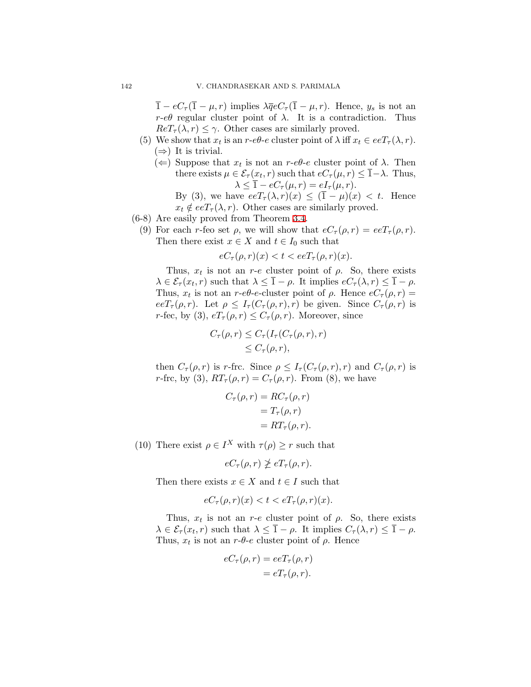$\overline{1} - eC_{\tau}(\overline{1} - \mu, r)$  implies  $\lambda \overline{q}eC_{\tau}(\overline{1} - \mu, r)$ . Hence,  $y_s$  is not an *r*- $e\theta$  regular cluster point of  $\lambda$ . It is a contradiction. Thus  $Re T_{\tau}(\lambda, r) \leq \gamma$ . Other cases are similarly proved.

- (5) We show that  $x_t$  is an  $r$ - $e\theta$ - $e$  cluster point of  $\lambda$  iff  $x_t \in eeT_\tau(\lambda, r)$ . (*⇒*) It is trivial.
	- $(\Leftarrow)$  Suppose that  $x_t$  is not an  $r$ - $e\theta$ - $e$  cluster point of  $\lambda$ . Then there exists  $\mu \in \mathcal{E}_{\tau}(x_t, r)$  such that  $eC_{\tau}(\mu, r) \leq \overline{1} - \lambda$ . Thus,  $\lambda \leq \overline{1} - eC_{\tau}(\mu, r) = eI_{\tau}(\mu, r).$ 
		- By (3), we have  $eeT_\tau(\lambda, r)(x) \leq (\overline{1} \mu)(x) < t$ . Hence  $x_t \notin eeT_\tau(\lambda, r)$ . Other cases are similarly proved.
- (6-8) Are easily proved from Theorem [3.4](#page-4-0).
	- (9) For each *r*-feo set  $\rho$ , we will show that  $eC_{\tau}(\rho, r) = eeT_{\tau}(\rho, r)$ . Then there exist  $x \in X$  and  $t \in I_0$  such that

 $eC_{\tau}(\rho, r)(x) < t < e e T_{\tau}(\rho, r)(x)$ .

Thus,  $x_t$  is not an  $r$ - $e$  cluster point of  $\rho$ . So, there exists  $\lambda \in \mathcal{E}_{\tau}(x_t, r)$  such that  $\lambda \leq \overline{1} - \rho$ . It implies  $eC_{\tau}(\lambda, r) \leq \overline{1} - \rho$ . Thus,  $x_t$  is not an  $r$ - $e\theta$ - $e$ -cluster point of  $\rho$ . Hence  $eC_\tau(\rho, r)$  =  $eeT_{\tau}(\rho,r)$ . Let  $\rho \leq I_{\tau}(C_{\tau}(\rho,r),r)$  be given. Since  $C_{\tau}(\rho,r)$  is *r*-fec, by (3),  $eT_\tau(\rho, r) \leq C_\tau(\rho, r)$ . Moreover, since

$$
C_{\tau}(\rho, r) \leq C_{\tau}(I_{\tau}(C_{\tau}(\rho, r), r))
$$
  
\$\leq C\_{\tau}(\rho, r)\$,

then  $C_{\tau}(\rho, r)$  is *r*-frc. Since  $\rho \leq I_{\tau}(C_{\tau}(\rho, r), r)$  and  $C_{\tau}(\rho, r)$  is *r*-frc, by (3),  $RT_{\tau}(\rho, r) = C_{\tau}(\rho, r)$ . From (8), we have

$$
C_{\tau}(\rho, r) = RC_{\tau}(\rho, r)
$$
  
=  $T_{\tau}(\rho, r)$   
=  $RT_{\tau}(\rho, r)$ .

(10) There exist  $\rho \in I^X$  with  $\tau(\rho) \geq r$  such that

 $eC_{\tau}(\rho, r) \not\geq eT_{\tau}(\rho, r)$ .

Then there exists  $x \in X$  and  $t \in I$  such that

$$
eC_{\tau}(\rho, r)(x) < t < eT_{\tau}(\rho, r)(x).
$$

Thus,  $x_t$  is not an  $r$ - $e$  cluster point of  $\rho$ . So, there exists  $\lambda \in \mathcal{E}_{\tau}(x_t, r)$  such that  $\lambda \leq \overline{1} - \rho$ . It implies  $C_{\tau}(\lambda, r) \leq \overline{1} - \rho$ . Thus,  $x_t$  is not an  $r$ - $\theta$ - $e$  cluster point of  $\rho$ . Hence

$$
eC_{\tau}(\rho, r) = eeT_{\tau}(\rho, r)
$$
  
= 
$$
eT_{\tau}(\rho, r).
$$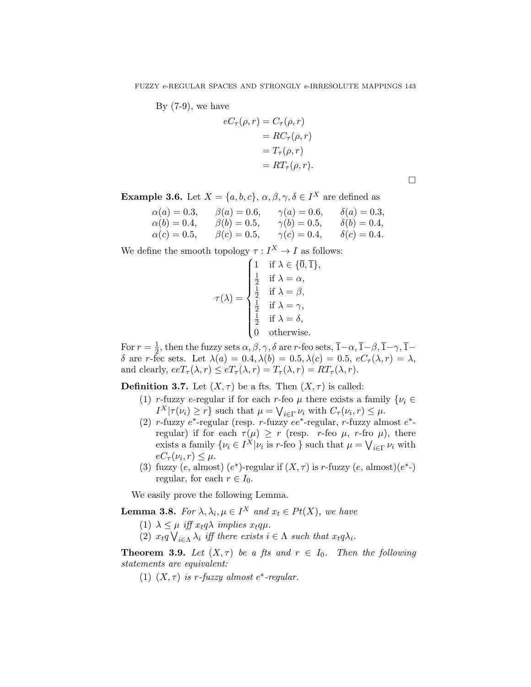By  $(7-9)$ , we have

$$
eC_{\tau}(\rho, r) = C_{\tau}(\rho, r)
$$
  
=  $RC_{\tau}(\rho, r)$   
=  $T_{\tau}(\rho, r)$   
=  $RT_{\tau}(\rho, r)$ .

□

**Example 3.6.** Let  $X = \{a, b, c\}$ ,  $\alpha, \beta, \gamma, \delta \in I^X$  are defined as

| $\alpha(a) = 0.3,$ | $\beta(a) = 0.6,$ | $\gamma(a) = 0.6,$ | $\delta(a) = 0.3,$ |
|--------------------|-------------------|--------------------|--------------------|
| $\alpha(b) = 0.4,$ | $\beta(b) = 0.5,$ | $\gamma(b) = 0.5,$ | $\delta(b) = 0.4,$ |
| $\alpha(c) = 0.5,$ | $\beta(c) = 0.5,$ | $\gamma(c)=0.4,$   | $\delta(c) = 0.4.$ |

We define the smooth topology  $\tau: I^X \to I$  as follows:

$$
\tau(\lambda) = \begin{cases}\n1 & \text{if } \lambda \in \{\overline{0}, \overline{1}\}, \\
\frac{1}{2} & \text{if } \lambda = \alpha, \\
\frac{1}{2} & \text{if } \lambda = \beta, \\
\frac{1}{2} & \text{if } \lambda = \gamma, \\
\frac{1}{2} & \text{if } \lambda = \delta, \\
0 & \text{otherwise.} \n\end{cases}
$$

For  $r=\frac{1}{2}$  $\frac{1}{2}$ , then the fuzzy sets  $\alpha, \beta, \gamma, \delta$  are *r*-feo sets,  $\overline{1}$ *-* $\alpha, \overline{1}$ *-* $\beta, \overline{1}$ *-* $\gamma, \overline{1}$ *δ* are *r*-fec sets. Let  $\lambda(a) = 0.4, \lambda(b) = 0.5, \lambda(c) = 0.5, eC_\tau(\lambda, r) = \lambda$ , and clearly,  $eeT_{\tau}(\lambda, r) \leq eT_{\tau}(\lambda, r) = T_{\tau}(\lambda, r) = RT_{\tau}(\lambda, r)$ .

**Definition 3.7.** Let  $(X, \tau)$  be a fts. Then  $(X, \tau)$  is called:

- (1) *r*-fuzzy *e*-regular if for each *r*-feo  $\mu$  there exists a family  $\{\nu_i \in$ *I*<sup>*X*</sup> $|\tau(\nu_i) \ge r$ } such that  $\mu = \bigvee_{i \in \Gamma} \nu_i$  with  $C_{\tau}(\nu_i, r) \le \mu$ .
- (2) *r*-fuzzy *e ∗* -regular (resp. *r*-fuzzy *ee<sup>∗</sup>* -regular, *r*-fuzzy almost *e ∗* regular) if for each  $τ(μ) ≥ r$  (resp. *r*-feo  $μ$ , *r*-fro  $μ$ ), there exists a family  $\{\nu_i \in I^X | \nu_i \text{ is } r\text{-feo }\}$  such that  $\mu = \bigvee_{i \in \Gamma} \nu_i$  with  $eC_{\tau}(\nu_i, r) \leq \mu.$
- (3) fuzzy  $(e, \text{almost})$   $(e^*)$ -regular if  $(X, \tau)$  is *r*-fuzzy  $(e, \text{almost})$  $(e^*)$ regular, for each  $r \in I_0$ .

We easily prove the following Lemma.

<span id="page-8-0"></span>**Lemma 3.8.** For  $\lambda, \lambda_i, \mu \in I^X$  and  $x_t \in Pt(X)$ , we have

- (1)  $\lambda \leq \mu$  *iff*  $x_t q \lambda$  *implies*  $x_t q \mu$ .
- (2)  $x_t q \bigvee_{i \in \Lambda} \lambda_i$  *iff there exists*  $i \in \Lambda$  *such that*  $x_t q \lambda_i$ *.*

**Theorem 3.9.** *Let*  $(X, \tau)$  *be a fts and*  $r \in I_0$ *. Then the following statements are equivalent:*

(1)  $(X, \tau)$  *is r-fuzzy almost*  $e^*$ -regular.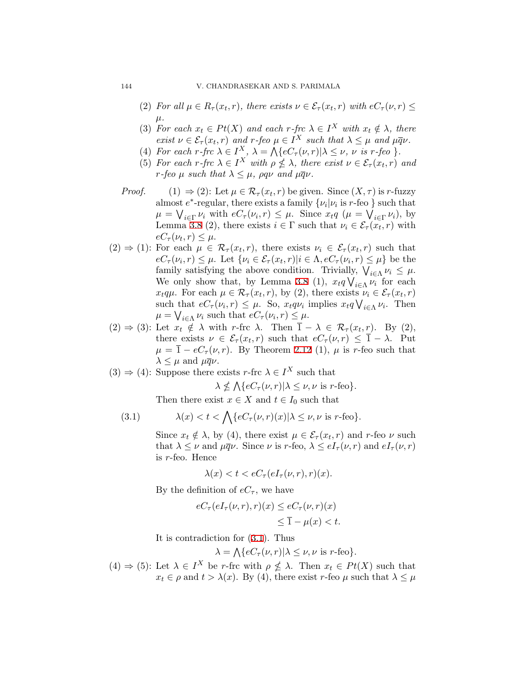- (2) *For all*  $\mu \in R_{\tau}(x_t, r)$ *, there exists*  $\nu \in \mathcal{E}_{\tau}(x_t, r)$  *with*  $eC_{\tau}(\nu, r) \leq$ *µ.*
- (3) *For each*  $x_t \in Pt(X)$  *and each*  $r$ *-frc*  $\lambda \in I^X$  *with*  $x_t \notin \lambda$ *, there exist*  $\nu \in \mathcal{E}_{\tau}(x_t, r)$  *and*  $r$ -*feo*  $\mu \in I^X$  *such that*  $\lambda \leq \mu$  *and*  $\mu \overline{q} \nu$ *.*
- (4) For each r-frc  $\lambda \in I^X$ ,  $\lambda = \Lambda \{eC_\tau(\nu, r) | \lambda \leq \nu, \nu \text{ is } r\text{-feo }\}.$
- (5) *For each r-frc*  $\lambda \in I^X$  *with*  $\rho \nleq \lambda$ *, there exist*  $\nu \in \mathcal{E}_{\tau}(x_t, r)$  *and r-feo*  $\mu$  *such that*  $\lambda \leq \mu$ *,*  $\rho q \nu$  *and*  $\mu \overline{q} \nu$ *.*
- *Proof.* (1)  $\Rightarrow$  (2): Let  $\mu \in \mathcal{R}_{\tau}(x_t, r)$  be given. Since  $(X, \tau)$  is *r*-fuzzy almost  $e^*$ -regular, there exists a family  $\{\nu_i|\nu_i\text{ is }r\text{-feo }\}$  such that  $\mu = \bigvee_{i \in \Gamma} \nu_i$  with  $eC_{\tau}(\nu_i, r) \leq \mu$ . Since  $x_t q$  ( $\mu = \bigvee_{i \in \Gamma} \nu_i$ ), by Lemma [3.8](#page-8-0) (2), there exists  $i \in \Gamma$  such that  $\nu_i \in \mathcal{E}_{\tau}(x_t, r)$  with  $eC_{\tau}(\nu_t, r) \leq \mu.$
- $(2) \Rightarrow (1)$ : For each  $\mu \in \mathcal{R}_{\tau}(x_t, r)$ , there exists  $\nu_i \in \mathcal{E}_{\tau}(x_t, r)$  such that  $eC_{\tau}(\nu_i,r) \leq \mu$ . Let  $\{\nu_i \in \mathcal{E}_{\tau}(x_t,r)|i \in \Lambda, eC_{\tau}(\nu_i,r) \leq \mu\}$  be the family satisfying the above condition. Trivially,  $\bigvee_{i \in \Lambda} \nu_i \leq \mu$ . We only show that, by Lemma [3.8](#page-8-0) (1),  $x_t q \bigvee_{i \in \Lambda} \nu_i$  for each *x*<sub>t</sub>*qµ*. For each  $\mu \in \mathcal{R}_{\tau}(x_t, r)$ , by (2), there exists  $\nu_i \in \mathcal{E}_{\tau}(x_t, r)$ such that  $eC_{\tau}(\nu_i, r) \leq \mu$ . So,  $x_t q \nu_i$  implies  $x_t q \nightharpoonup_{i \in \Lambda} \nu_i$ . Then  $\mu = \bigvee_{i \in \Lambda} \nu_i$  such that  $eC_{\tau}(\nu_i, r) \leq \mu$ .
- $(2)$  ⇒ (3): Let  $x_t \notin \lambda$  with *r*-frc  $\lambda$ . Then  $\overline{1} \lambda \in \mathcal{R}_{\tau}(x_t, r)$ . By (2), there exists  $\nu \in \mathcal{E}_{\tau}(x_t, r)$  such that  $eC_{\tau}(\nu, r) \leq \overline{1} - \lambda$ . Put  $\mu = \overline{1} - eC_{\tau}(\nu, r)$ . By Theorem [2.12](#page-3-0) (1),  $\mu$  is *r*-feo such that  $\lambda \leq \mu$  and  $\mu \overline{q} \nu$ .
- $(3) \Rightarrow (4)$ : Suppose there exists *r*-frc  $\lambda \in I^X$  such that

$$
\lambda \nleq \bigwedge \{ eC_{\tau}(\nu, r) | \lambda \leq \nu, \nu \text{ is } r\text{-feo} \}.
$$

Then there exist  $x \in X$  and  $t \in I_0$  such that

<span id="page-9-0"></span>(3.1) 
$$
\lambda(x) < t < \bigwedge \{ e C_\tau(\nu, r)(x) | \lambda \le \nu, \nu \text{ is } r\text{-feo} \}.
$$

Since  $x_t \notin \lambda$ , by (4), there exist  $\mu \in \mathcal{E}_{\tau}(x_t, r)$  and *r*-feo  $\nu$  such that  $\lambda \leq \nu$  and  $\mu \overline{q} \nu$ . Since  $\nu$  is *r*-feo,  $\lambda \leq e I_{\tau}(\nu, r)$  and  $e I_{\tau}(\nu, r)$ is *r*-feo. Hence

$$
\lambda(x) < t < eC_\tau(eI_\tau(\nu, r), r)(x).
$$

By the definition of  $eC_{\tau}$ , we have

$$
eC_{\tau}(eI_{\tau}(\nu,r),r)(x) \le eC_{\tau}(\nu,r)(x)
$$
  

$$
\le \overline{1} - \mu(x) < t.
$$

It is contradiction for([3.1\)](#page-9-0). Thus

$$
\lambda = \bigwedge \{ eC_{\tau}(\nu, r) | \lambda \leq \nu, \nu \text{ is } r\text{-feo} \}.
$$

 $(4) \Rightarrow (5)$ : Let  $\lambda \in I^X$  be *r*-frc with  $\rho \nleq \lambda$ . Then  $x_t \in Pt(X)$  such that  $x_t \in \rho$  and  $t > \lambda(x)$ . By (4), there exist *r*-feo  $\mu$  such that  $\lambda \leq \mu$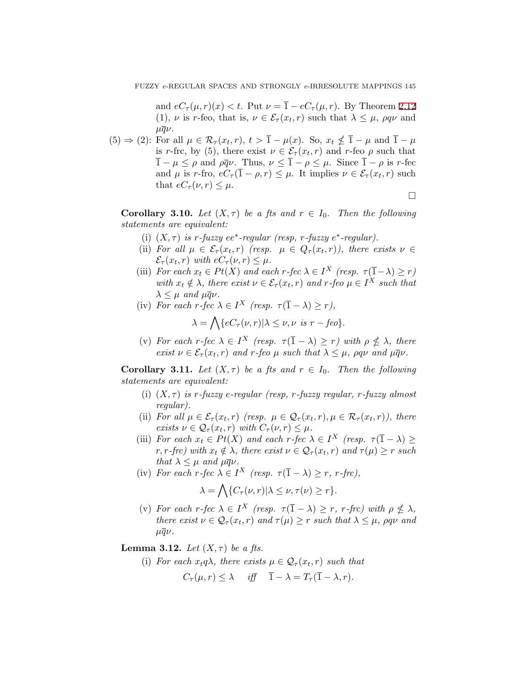and  $eC_{\tau}(\mu, r)(x) < t$ . Put  $\nu = \overline{1} - eC_{\tau}(\mu, r)$ . By Theorem [2.12](#page-3-0) (1), *ν* is *r*-feo, that is,  $\nu \in \mathcal{E}_{\tau}(x_t, r)$  such that  $\lambda \leq \mu$ ,  $\rho q \nu$  and  $\mu\overline{q}\nu$ .

 $(5) \Rightarrow (2)$ : For all  $\mu \in \mathcal{R}_{\tau}(x_t, r), t > \overline{1} - \mu(x)$ . So,  $x_t \nleq \overline{1} - \mu$  and  $\overline{1} - \mu$ is *r*-frc, by (5), there exist  $\nu \in \mathcal{E}_{\tau}(x_t, r)$  and *r*-feo  $\rho$  such that  $\overline{1} - \mu \leq \rho$  and  $\rho \overline{q} \nu$ . Thus,  $\nu \leq \overline{1} - \rho \leq \mu$ . Since  $\overline{1} - \rho$  is *r*-fec and  $\mu$  is *r*-fro,  $eC_{\tau}(\overline{1} - \rho, r) \leq \mu$ . It implies  $\nu \in \mathcal{E}_{\tau}(x_t, r)$  such that  $eC_\tau(\nu, r) \leq \mu$ .

□

**Corollary 3.10.** *Let*  $(X, \tau)$  *be a fts and*  $r \in I_0$ *. Then the following statements are equivalent:*

- (i)  $(X, \tau)$  *is*  $r$ *-fuzzy*  $ee^*$ *-regular* (*resp,*  $r$ *-fuzzy*  $e^*$ *-regular*).
- (ii) For all  $\mu \in \mathcal{E}_{\tau}(x_t, r)$  (resp.  $\mu \in Q_{\tau}(x_t, r)$ ), there exists  $\nu \in$  $\mathcal{E}_{\tau}(x_t, r)$  *with*  $eC_{\tau}(\nu, r) \leq \mu$ .
- (iii) *For each*  $x_t \in Pt(X)$  *and each*  $r$ *-fec*  $\lambda \in I^X$  (resp.  $\tau(\overline{1}-\lambda) \geq r$ ) *with*  $x_t \notin \lambda$ , there exist  $\nu \in \mathcal{E}_{\tau}(x_t, r)$  and  $r$ -feo  $\mu \in I^X$  such that  $\lambda \leq \mu$  *and*  $\mu \overline{q} \nu$ *.*
- (iv) *For each r-fec*  $\lambda \in I^X$  (resp.  $\tau(\overline{1} \lambda) \geq r$ ),

$$
\lambda = \bigwedge \{ eC_{\tau}(\nu, r) | \lambda \leq \nu, \nu \text{ is } r - feo \}.
$$

(v) *For each r*-fec  $\lambda \in I^X$  (resp.  $\tau(\overline{1} - \lambda) \geq r$ ) with  $\rho \nleq \lambda$ , there *exist*  $\nu \in \mathcal{E}_{\tau}(x_t, r)$  *and*  $r$ *-feo*  $\mu$  *such that*  $\lambda \leq \mu$ *,*  $\rho q \nu$  *and*  $\mu \overline{q} \nu$ *.* 

<span id="page-10-1"></span>**Corollary 3.11.** *Let*  $(X, \tau)$  *be a fts and*  $r \in I_0$ *. Then the following statements are equivalent:*

- (i) (*X, τ* ) *is r-fuzzy e-regular (resp, r-fuzzy regular, r-fuzzy almost regular).*
- (ii) *For all*  $\mu \in \mathcal{E}_{\tau}(x_t, r)$  (resp.  $\mu \in \mathcal{Q}_{\tau}(x_t, r), \mu \in \mathcal{R}_{\tau}(x_t, r)$ ), there *exists*  $\nu \in \mathcal{Q}_{\tau}(x_t, r)$  *with*  $C_{\tau}(\nu, r) \leq \mu$ .
- (iii) *For each*  $x_t \in Pt(X)$  *and each*  $r$ *-fec*  $\lambda \in I^X$  (resp.  $\tau(\overline{1} \lambda) \ge$  $r, r$ *-frc)* with  $x_t \notin \lambda$ , there exist  $\nu \in \mathcal{Q}_\tau(x_t, r)$  and  $\tau(\mu) \geq r$  such *that*  $\lambda \leq \mu$  *and*  $\mu \overline{q} \nu$ *.*
- (iv) *For each r-fec*  $\lambda \in I^X$  (resp.  $\tau(\overline{1} \lambda) \geq r$ , *r-frc*),

$$
\lambda = \bigwedge \{ C_{\tau}(\nu, r) | \lambda \leq \nu, \tau(\nu) \geq r \}.
$$

(v) For each  $r$ *-fec*  $\lambda \in I^X$  (resp.  $\tau(\overline{1} - \lambda) \geq r$ ,  $r$ *-frc)* with  $\rho \nleq \lambda$ , *there exist*  $\nu \in \mathcal{Q}_{\tau}(x_t, r)$  *and*  $\tau(\mu) \geq r$  *such that*  $\lambda \leq \mu$ *,*  $\rho q \nu$  *and*  $\mu\overline{q}\nu$ .

<span id="page-10-0"></span>**Lemma 3.12.** *Let*  $(X, \tau)$  *be a fts.* 

(i) For each  $x_t q \lambda$ , there exists  $\mu \in \mathcal{Q}_{\tau}(x_t, r)$  such that

$$
C_{\tau}(\mu, r) \leq \lambda \quad \text{iff} \quad \overline{1} - \lambda = T_{\tau}(\overline{1} - \lambda, r).
$$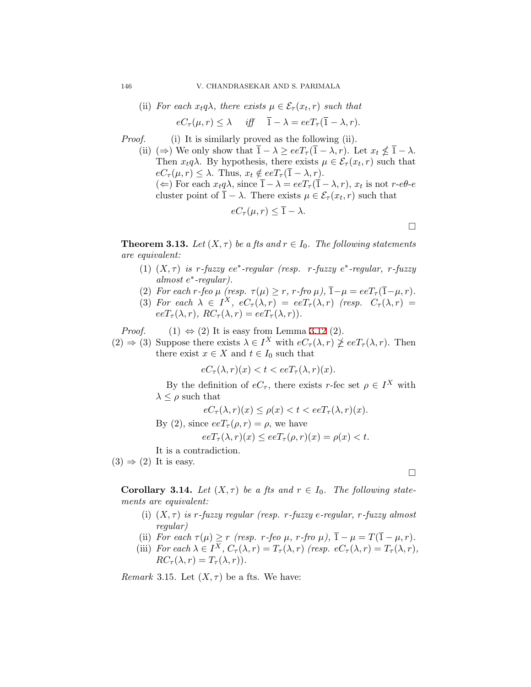(ii) For each 
$$
x_t q \lambda
$$
, there exists  $\mu \in \mathcal{E}_{\tau}(x_t, r)$  such that

$$
eC_{\tau}(\mu, r) \leq \lambda \quad \text{iff} \quad \overline{1} - \lambda = eeT_{\tau}(\overline{1} - \lambda, r).
$$

*Proof.* (i) It is similarly proved as the following (ii).

(ii)  $(\Rightarrow)$  We only show that  $\overline{1} - \lambda \geq e e T_{\tau} (\overline{1} - \lambda, r)$ . Let  $x_t \nleq \overline{1} - \lambda$ . Then  $x_t q \lambda$ . By hypothesis, there exists  $\mu \in \mathcal{E}_{\tau}(x_t, r)$  such that  $eC_{\tau}(\mu, r) \leq \lambda$ . Thus,  $x_t \notin eeT_{\tau}(\overline{1} - \lambda, r)$ .

 $(\Leftarrow)$  For each  $x_t q \lambda$ , since  $\overline{1} - \lambda = e e T_\tau (\overline{1} - \lambda, r)$ ,  $x_t$  is not  $r$ - $e \theta$ - $e$ cluster point of  $\overline{1} - \lambda$ . There exists  $\mu \in \mathcal{E}_{\tau}(x_t, r)$  such that

$$
eC_{\tau}(\mu, r) \leq \overline{1} - \lambda.
$$

□

**Theorem 3.13.** *Let*  $(X, \tau)$  *be a fts and*  $r \in I_0$ *. The following statements are equivalent:*

- (1)  $(X, \tau)$  *is r*-fuzzy  $ee^*$ -regular (resp. *r*-fuzzy  $e^*$ -regular, *r*-fuzzy *almost e ∗ -regular).*
- (2) *For each r-feo*  $\mu$  (resp.  $\tau(\mu) \geq r$ ,  $r$ -fro  $\mu$ ),  $\bar{1} \mu = eeT_{\tau}(\bar{1} \mu, r)$ .
- (3) For each  $\lambda \in I^X$ ,  $eC_\tau(\lambda, r) = eeT_\tau(\lambda, r)$  (resp.  $C_\tau(\lambda, r) =$  $eeT_{\tau}(\lambda, r), RC_{\tau}(\lambda, r) = eeT_{\tau}(\lambda, r).$

*Proof.* (1)  $\Leftrightarrow$  (2) It is easy from Lemma [3.12](#page-10-0) (2).

 $(2) \Rightarrow (3)$  Suppose there exists  $\lambda \in I^X$  with  $eC_\tau(\lambda, r) \not\geq e^{\tau}(\lambda, r)$ . Then there exist  $x \in X$  and  $t \in I_0$  such that

$$
eC_{\tau}(\lambda, r)(x) < t < e e T_{\tau}(\lambda, r)(x).
$$

By the definition of  $eC_\tau$ , there exists *r*-fec set  $\rho \in I^X$  with  $\lambda \leq \rho$  such that

$$
eC_{\tau}(\lambda, r)(x) \le \rho(x) < t < e e T_{\tau}(\lambda, r)(x).
$$
\nBy (2), since  $e e T_{\tau}(\rho, r) = \rho$ , we have

\n
$$
e e T_{\tau}(\lambda, r)(x) \le e e T_{\tau}(\rho, r)(x) = \rho(x) < t.
$$

It is a contradiction.

 $(3) \Rightarrow (2)$  It is easy.

**Corollary 3.14.** *Let*  $(X, \tau)$  *be a fts and*  $r \in I_0$ *. The following statements are equivalent:*

- (i) (*X, τ* ) *is r-fuzzy regular (resp. r-fuzzy e-regular, r-fuzzy almost regular)*
- (ii) *For each*  $\tau(\mu) \geq r$  (resp. *r*-feo  $\mu$ , *r*-fro  $\mu$ ),  $\overline{1} \mu = T(\overline{1} \mu, r)$ .
- (iii) *For each*  $\lambda \in I^X$ *,*  $C_{\tau}(\lambda, r) = T_{\tau}(\lambda, r)$  (resp.  $eC_{\tau}(\lambda, r) = T_{\tau}(\lambda, r)$ ,  $RC_{\tau}(\lambda, r) = T_{\tau}(\lambda, r)$ .

<span id="page-11-0"></span>*Remark* 3.15. Let  $(X, \tau)$  be a fts. We have:

□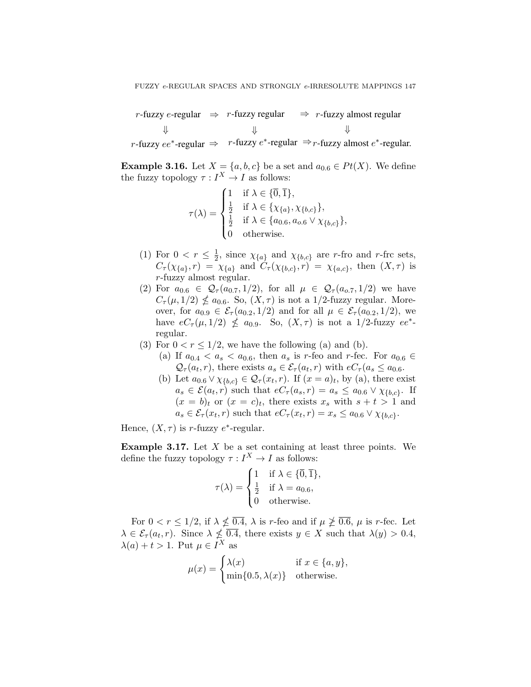*r*-fuzzy *e*-regular *⇒ r*-fuzzy regular *⇒ r*-fuzzy almost regular  $r$ -fuzzy  $ee^*$ -regular  $\Rightarrow$   $r$ -fuzzy  $e^*$ -regular  $\Rightarrow$   $r$ -fuzzy almost  $e^*$ -regular. *⇓ ⇓ ⇓*

**Example 3.16.** Let  $X = \{a, b, c\}$  be a set and  $a_{0.6} \in Pt(X)$ . We define the fuzzy topology  $\tau: I^X \to I$  as follows:

$$
\tau(\lambda) = \begin{cases}\n1 & \text{if } \lambda \in \{\overline{0}, \overline{1}\}, \\
\frac{1}{2} & \text{if } \lambda \in \{\chi_{\{a\}}, \chi_{\{b,c\}}\}, \\
\frac{1}{2} & \text{if } \lambda \in \{a_{0.6}, a_{o.6} \vee \chi_{\{b,c\}}\}, \\
0 & \text{otherwise.} \n\end{cases}
$$

- (1) For  $0 < r \leq \frac{1}{2}$  $\frac{1}{2}$ , since  $\chi_{\{a\}}$  and  $\chi_{\{b,c\}}$  are *r*-fro and *r*-frc sets,  $C_{\tau}(\chi_{\{a\}}, r) = \chi_{\{a\}}$  and  $C_{\tau}(\chi_{\{b,c\}}, r) = \chi_{\{a,c\}}$ , then  $(X, \tau)$  is *r*-fuzzy almost regular.
- (2) For  $a_{0.6} \in Q_{\tau}(a_{0.7}, 1/2)$ , for all  $\mu \in Q_{\tau}(a_{0.7}, 1/2)$  we have  $C_{\tau}(\mu,1/2) \nleq a_{0.6}$ . So,  $(X,\tau)$  is not a 1/2-fuzzy regular. Moreover, for  $a_{0.9} \in \mathcal{E}_{\tau}(a_{0.2}, 1/2)$  and for all  $\mu \in \mathcal{E}_{\tau}(a_{0.2}, 1/2)$ , we have  $eC_{\tau}(\mu, 1/2) \nleq a_{0.9}$ . So,  $(X, \tau)$  is not a 1/2-fuzzy  $ee^*$ regular.
- (3) For  $0 < r \leq 1/2$ , we have the following (a) and (b).
	- (a) If  $a_{0,4} < a_s < a_{0,6}$ , then  $a_s$  is *r*-feo and *r*-fec. For  $a_{0,6} \in$  $\mathcal{Q}_{\tau}(a_t, r)$ , there exists  $a_s \in \mathcal{E}_{\tau}(a_t, r)$  with  $eC_{\tau}(a_s \le a_{0.6}$ .
	- (b) Let  $a_{0.6} \vee \chi_{\{b,c\}} \in \mathcal{Q}_{\tau}(x_t, r)$ . If  $(x = a)_t$ , by (a), there exist  $a_s \in \mathcal{E}(a_t, r)$  such that  $eC_\tau(a_s, r) = a_s \leq a_{0.6} \vee \chi_{\{b,c\}}$ . If  $(x = b)<sub>t</sub>$  or  $(x = c)<sub>t</sub>$ , there exists  $x<sub>s</sub>$  with  $s + t > 1$  and  $a_s \in \mathcal{E}_{\tau}(x_t, r)$  such that  $eC_{\tau}(x_t, r) = x_s \le a_{0.6} \vee \chi_{\{b,c\}}$ .

Hence,  $(X, \tau)$  is *r*-fuzzy  $e^*$ -regular.

**Example 3.17.** Let *X* be a set containing at least three points. We define the fuzzy topology  $\tau: I^X \to I$  as follows:

$$
\tau(\lambda) = \begin{cases} 1 & \text{if } \lambda \in \{\overline{0}, \overline{1}\}, \\ \frac{1}{2} & \text{if } \lambda = a_{0.6}, \\ 0 & \text{otherwise.} \end{cases}
$$

For  $0 < r \leq 1/2$ , if  $\lambda \not\leq 0.4$ ,  $\lambda$  is *r*-feo and if  $\mu \not\geq 0.6$ ,  $\mu$  is *r*-fec. Let  $\lambda \in \mathcal{E}_{\tau}(a_t, r)$ . Since  $\lambda \nleq 0.4$ , there exists  $y \in X$  such that  $\lambda(y) > 0.4$ ,  $\lambda(a) + t > 1$ . Put  $\mu \in I^X$  as

$$
\mu(x) = \begin{cases} \lambda(x) & \text{if } x \in \{a, y\}, \\ \min\{0.5, \lambda(x)\} & \text{otherwise.} \end{cases}
$$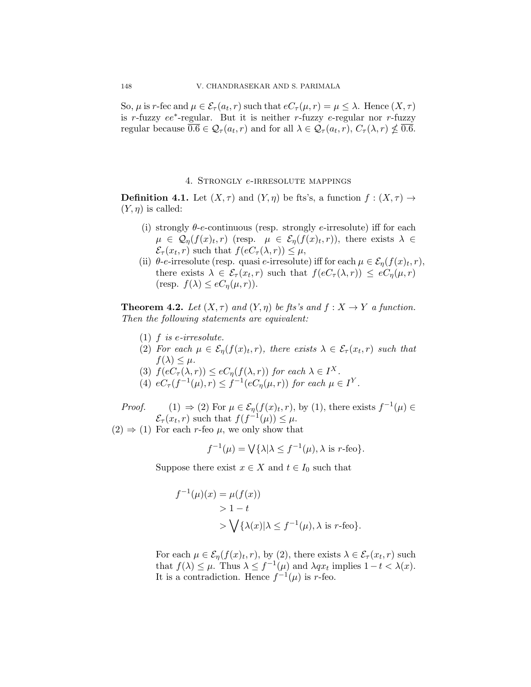So,  $\mu$  is *r*-fec and  $\mu \in \mathcal{E}_{\tau}(a_t, r)$  such that  $eC_{\tau}(\mu, r) = \mu \leq \lambda$ . Hence  $(X, \tau)$ is *r*-fuzzy *ee<sup>∗</sup>* -regular. But it is neither *r*-fuzzy *e*-regular nor *r*-fuzzy regular because  $\overline{0.6} \in \mathcal{Q}_{\tau}(a_t, r)$  and for all  $\lambda \in \mathcal{Q}_{\tau}(a_t, r), C_{\tau}(\lambda, r) \nleq \overline{0.6}$ .

### 4. Strongly *e*-irresolute mappings

**Definition 4.1.** Let  $(X, \tau)$  and  $(Y, \eta)$  be fts's, a function  $f : (X, \tau) \to$  $(Y, \eta)$  is called:

- (i) strongly *θ*-*e*-continuous (resp. strongly *e*-irresolute) iff for each  $\mu \in \mathcal{Q}_{\eta}(f(x)_{t}, r)$  (resp.  $\mu \in \mathcal{E}_{\eta}(f(x)_{t}, r)$ ), there exists  $\lambda \in$  $\mathcal{E}_{\tau}(x_t, r)$  such that  $f(eC_{\tau}(\lambda, r)) \leq \mu$ ,
- (ii)  $\theta$ -*e*-irresolute (resp. quasi *e*-irresolute) iff for each  $\mu \in \mathcal{E}_{\eta}(f(x)<sub>t</sub>, r)$ , there exists  $\lambda \in \mathcal{E}_{\tau}(x_t, r)$  such that  $f(eC_{\tau}(\lambda, r)) \leq eC_{\eta}(\mu, r)$  $(r \exp \frac{f(\lambda)}{2} \leq eC_n(\mu, r)).$

<span id="page-13-0"></span>**Theorem 4.2.** *Let*  $(X, \tau)$  *and*  $(Y, \eta)$  *be fts's and*  $f: X \to Y$  *a function. Then the following statements are equivalent:*

- $(1)$  *f is e*-*irresolute*.
- (2) *For each*  $\mu \in \mathcal{E}_{\eta}(f(x)<sub>t</sub>, r)$ , there exists  $\lambda \in \mathcal{E}_{\tau}(x_t, r)$  such that  $f(\lambda) \leq \mu$ .
- (3)  $f(eC_\tau(\lambda, r)) \leq eC_\eta(f(\lambda, r))$  *for each*  $\lambda \in I^X$ *.*
- (4)  $eC_{\tau}(f^{-1}(\mu), r) \leq f^{-1}(eC_{\eta}(\mu, r))$  for each  $\mu \in I^{Y}$ .
- *Proof.* (1)  $\Rightarrow$  (2) For  $\mu \in \mathcal{E}_{\eta}(f(x)<sub>t</sub>, r)$ , by (1), there exists  $f^{-1}(\mu) \in$  $\mathcal{E}_{\tau}(x_t, r)$  such that  $f(f^{-1}(\mu)) \leq \mu$ .
- $(2) \Rightarrow (1)$  For each *r*-feo  $\mu$ , we only show that

$$
f^{-1}(\mu) = \bigvee \{ \lambda | \lambda \le f^{-1}(\mu), \lambda \text{ is } r\text{-feo} \}.
$$

Suppose there exist  $x \in X$  and  $t \in I_0$  such that

$$
f^{-1}(\mu)(x) = \mu(f(x))
$$
  
> 1 - t  
>  $\bigvee \{ \lambda(x) | \lambda \le f^{-1}(\mu), \lambda \text{ is } r\text{-feo} \}.$ 

For each  $\mu \in \mathcal{E}_{\eta}(f(x), r)$ , by (2), there exists  $\lambda \in \mathcal{E}_{\tau}(x_t, r)$  such that  $f(\lambda) \leq \mu$ . Thus  $\lambda \leq f^{-1}(\mu)$  and  $\lambda qx_t$  implies  $1 - t < \lambda(x)$ . It is a contradiction. Hence  $f^{-1}(\mu)$  is *r*-feo.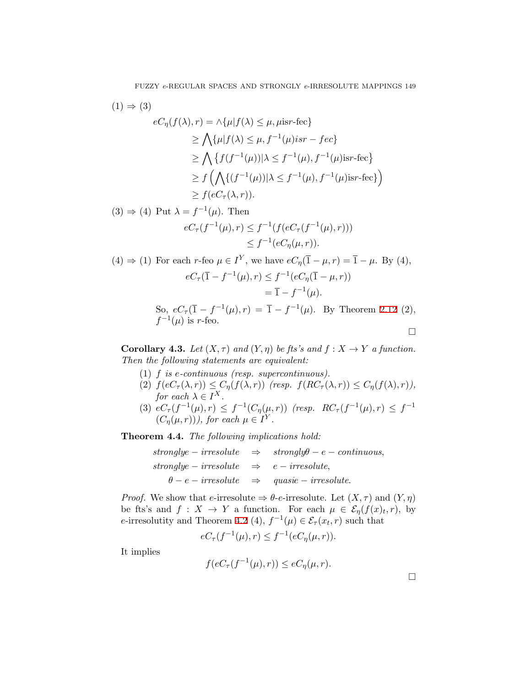$$
(1) \Rightarrow (3)
$$
  
\n
$$
eC_{\eta}(f(\lambda), r) = \Lambda \{\mu | f(\lambda) \leq \mu, \mu \text{isr-fec}\}
$$
  
\n
$$
\geq \bigwedge \{\mu | f(\lambda) \leq \mu, f^{-1}(\mu) \text{isr-fec}\}
$$
  
\n
$$
\geq \bigwedge \{f(f^{-1}(\mu)) | \lambda \leq f^{-1}(\mu), f^{-1}(\mu) \text{isr-fec}\}
$$
  
\n
$$
\geq f(\bigwedge \{(f^{-1}(\mu)) | \lambda \leq f^{-1}(\mu), f^{-1}(\mu) \text{isr-fec}\})
$$
  
\n
$$
\geq f(eC_{\tau}(\lambda, r)).
$$

$$
\Rightarrow (4) \text{ Put } \lambda = f^{-1}(\mu). \text{ Then}
$$
  

$$
eC_{\tau}(f^{-1}(\mu), r) \le f^{-1}(f(eC_{\tau}(f^{-1}(\mu), r)))
$$
  

$$
\le f^{-1}(eC_{\eta}(\mu, r)).
$$

(4) 
$$
\Rightarrow
$$
 (1) For each  $r$ -feo  $\mu \in I^Y$ , we have  $eC_\eta(\bar{1} - \mu, r) = \bar{1} - \mu$ . By (4),  
\n
$$
eC_\tau(\bar{1} - f^{-1}(\mu), r) \le f^{-1}(eC_\eta(\bar{1} - \mu, r))
$$
\n
$$
= \bar{1} - f^{-1}(\mu).
$$

So,  $eC_{\tau}(\bar{1} - f^{-1}(\mu), r) = \bar{1} - f^{-1}(\mu)$ . By Theorem [2.12](#page-3-0) (2),  $f^{-1}(\mu)$  is *r*-feo. □

**Corollary 4.3.** *Let*  $(X, \tau)$  *and*  $(Y, \eta)$  *be fts's and*  $f : X \to Y$  *a function. Then the following statements are equivalent:*

- (1) *f is e-continuous (resp. supercontinuous).*
- $f\{eC_{\tau}(\lambda,r)\}\leq C_{\eta}(f(\lambda,r))$  *(resp.*  $f(RC_{\tau}(\lambda,r))\leq C_{\eta}(f(\lambda),r)$ ), *for each*  $\lambda \in I^X$ .
- (3)  $eC_{\tau}(f^{-1}(\mu), r) \leq f^{-1}(C_{\eta}(\mu, r))$  (resp.  $RC_{\tau}(f^{-1}(\mu), r) \leq f^{-1}$  $(C_{\eta}(\mu, r))$ , for each  $\mu \in I^Y$ .

**Theorem 4.4.** *The following implications hold:*

|                                                      | $stronglye-irresolute \Rightarrow strongly \theta-e-continuous,$ |
|------------------------------------------------------|------------------------------------------------------------------|
| stronglye – irresolute $\Rightarrow$ e – irresolute, |                                                                  |
|                                                      | $\theta - e - irresolute \Rightarrow quasie - irresolute.$       |

*Proof.* We show that *e*-irresolute  $\Rightarrow$  *θ*-*e*-irresolute. Let  $(X, \tau)$  and  $(Y, \eta)$ be fts's and  $f: X \to Y$  a function. For each  $\mu \in \mathcal{E}_{\eta}(f(x), r)$ , by *e*-irresolutity and Theorem [4.2](#page-13-0) (4),  $f^{-1}(\mu) \in \mathcal{E}_{\tau}(x_t, r)$  such that

$$
eC_{\tau}(f^{-1}(\mu),r) \le f^{-1}(eC_{\eta}(\mu,r)).
$$

It implies

 $(3)$ 

$$
f(eC_{\tau}(f^{-1}(\mu),r)) \le eC_{\eta}(\mu,r).
$$

□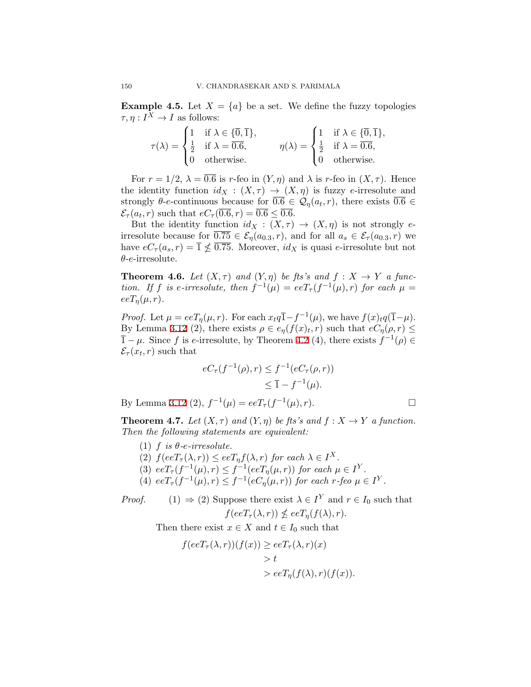**Example 4.5.** Let  $X = \{a\}$  be a set. We define the fuzzy topologies  $\tau, \eta: I^X \to I$  as follows:

$$
\tau(\lambda) = \begin{cases} 1 & \text{if } \lambda \in \{\overline{0}, \overline{1}\}, \\ \frac{1}{2} & \text{if } \lambda = \overline{0.6}, \\ 0 & \text{otherwise.} \end{cases} \qquad \eta(\lambda) = \begin{cases} 1 & \text{if } \lambda \in \{\overline{0}, \overline{1}\}, \\ \frac{1}{2} & \text{if } \lambda = \overline{0.6}, \\ 0 & \text{otherwise.} \end{cases}
$$

For  $r = 1/2$ ,  $\lambda = \overline{0.6}$  is *r*-feo in  $(Y, \eta)$  and  $\lambda$  is *r*-feo in  $(X, \tau)$ . Hence the identity function  $id_X : (X, \tau) \to (X, \eta)$  is fuzzy *e*-irresolute and strongly  $\theta$ -*e*-continuous because for  $\overline{0.6} \in \mathcal{Q}_\eta(a_t, r)$ , there exists  $\overline{0.6} \in$  $\mathcal{E}_{\tau}(a_t, r)$  such that  $eC_{\tau}(\overline{0.6}, r) = \overline{0.6} \le \overline{0.6}$ .

But the identity function  $id_X : (X, \tau) \to (X, \eta)$  is not strongly *e*irresolute because for  $\overline{0.75} \in \mathcal{E}_\eta(a_{0.3}, r)$ , and for all  $a_s \in \mathcal{E}_\tau(a_{0.3}, r)$  we have  $eC_{\tau}(a_s, r) = \overline{1} \nleq \overline{0.75}$ . Moreover,  $id_X$  is quasi *e*-irresolute but not *θ*-*e*-irresolute.

**Theorem 4.6.** *Let*  $(X, \tau)$  *and*  $(Y, \eta)$  *be fts's and*  $f : X \to Y$  *a function.* If *f is e-irresolute, then*  $f^{-1}(\mu) = eeT_{\tau}(f^{-1}(\mu), r)$  *for each*  $\mu =$  $eeT_n(\mu, r)$ .

*Proof.* Let  $\mu = eeT_{\eta}(\mu, r)$ . For each  $x_t q\overline{1} - f^{-1}(\mu)$ , we have  $f(x)_t q(\overline{1} - \mu)$ . By Lemma [3.12](#page-10-0) (2), there exists  $\rho \in e_{\eta}(f(x)_{t}, r)$  such that  $eC_{\eta}(\rho, r) \leq$  $\overline{1} - \mu$ . Since *f* is *e*-irresolute, by Theorem [4.2](#page-13-0) (4), there exists  $f^{-1}(\rho) \in$  $\mathcal{E}_{\tau}(x_t, r)$  such that

$$
eC_{\tau}(f^{-1}(\rho), r) \le f^{-1}(eC_{\tau}(\rho, r))
$$
  
 
$$
\le \overline{1} - f^{-1}(\mu).
$$

By Lemma [3.12](#page-10-0) (2),  $f^{-1}(\mu) = eeT_\tau(f^{-1}(\mu), r)$ . □

**Theorem 4.7.** *Let*  $(X, \tau)$  *and*  $(Y, \eta)$  *be fts's and*  $f: X \to Y$  *a function. Then the following statements are equivalent:*

- (1)  $f$  *is*  $\theta$ *-e-irresolute.*
- $f(eeT_{\tau}(\lambda, r)) \leq eeT_{\eta}f(\lambda, r)$  *for each*  $\lambda \in I^X$ .
- (3)  $eeT_{\tau}(f^{-1}(\mu), r) \leq f^{-1}(eeT_{\eta}(\mu, r))$  *for each*  $\mu \in I^Y$ .
- (4)  $eeT_{\tau}(f^{-1}(\mu), r) \leq f^{-1}(eC_{\eta}(\mu, r))$  for each  $r$ -feo  $\mu \in I^Y$ .

*Proof.* (1)  $\Rightarrow$  (2) Suppose there exist  $\lambda \in I^Y$  and  $r \in I_0$  such that  $f(eeT_{\tau}(\lambda, r)) \nless eeT_{\tau}(f(\lambda), r).$ 

$$
J\left(\cos\tau\left(\cdot\right),\cdot\right)\right) \neq \cos\tau\eta\left(J\left(\cdot\right),\cdot\right)
$$

Then there exist  $x \in X$  and  $t \in I_0$  such that

$$
f(eeT_{\tau}(\lambda, r))(f(x)) \geq eeT_{\tau}(\lambda, r)(x)
$$
  
> t  
> eeT\_{\eta}(f(\lambda), r)(f(x)).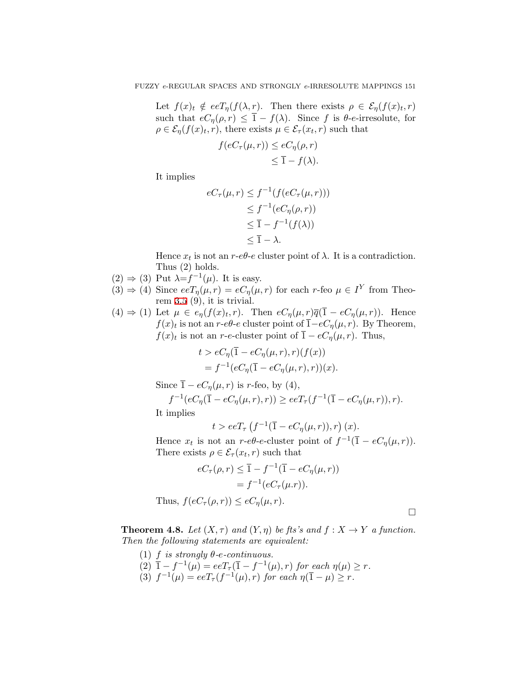Let  $f(x)$   $\notin$   $eeT_{\eta}(f(\lambda, r))$ . Then there exists  $\rho \in \mathcal{E}_{\eta}(f(x)_{t}, r)$ such that  $eC_{\eta}(\rho, r) \leq \overline{1} - f(\lambda)$ . Since *f* is  $\theta$ -*e*-irresolute, for  $\rho \in \mathcal{E}_{\eta}(f(x), r)$ , there exists  $\mu \in \mathcal{E}_{\tau}(x_t, r)$  such that

$$
f(eC_{\tau}(\mu, r)) \le eC_{\eta}(\rho, r)
$$
  

$$
\le \overline{1} - f(\lambda).
$$

It implies

$$
eC_{\tau}(\mu, r) \le f^{-1}(f(eC_{\tau}(\mu, r)))
$$
  
\n
$$
\le f^{-1}(eC_{\eta}(\rho, r))
$$
  
\n
$$
\le \overline{1} - f^{-1}(f(\lambda))
$$
  
\n
$$
\le \overline{1} - \lambda.
$$

Hence  $x_t$  is not an  $r$ - $e\theta$ - $e$  cluster point of  $\lambda$ . It is a contradiction. Thus (2) holds.

- (2)  $\Rightarrow$  (3) Put  $λ=f^{-1}(μ)$ . It is easy.
- $(3) \Rightarrow (4)$  Since  $eeT_\eta(\mu, r) = eC_\eta(\mu, r)$  for each *r*-feo  $\mu \in I^Y$  from Theorem  $3.5$  (9), it is trivial.
- $(4) \Rightarrow (1)$  Let  $\mu \in e_{\eta}(f(x)_t, r)$ . Then  $eC_{\eta}(\mu, r)\overline{q}(\overline{1} eC_{\eta}(\mu, r))$ . Hence *f*(*x*)*t* is not an *r*-*eθ*-*e* cluster point of  $\overline{1}$ -*eC<sub>n</sub>*(*µ, r*). By Theorem, *f*(*x*)*t* is not an *r*-*e*-cluster point of  $\overline{1} - eC_{\eta}(\mu, r)$ . Thus,

$$
t > eC_{\eta}(\bar{1} - eC_{\eta}(\mu, r), r)(f(x))
$$
  
=  $f^{-1}(eC_{\eta}(\bar{1} - eC_{\eta}(\mu, r), r))(x).$ 

Since  $\overline{1} - eC_n(\mu, r)$  is *r*-feo, by (4),

$$
f^{-1}(eC_{\eta}(\bar{1} - eC_{\eta}(\mu, r), r)) \geq e eT_{\tau}(f^{-1}(\bar{1} - eC_{\eta}(\mu, r)), r).
$$

It implies

$$
t > eeT_{\tau} \left( f^{-1}(\overline{1} - eC_{\eta}(\mu, r)), r \right)(x).
$$

Hence  $x_t$  is not an  $r$ - $e\theta$ - $e$ -cluster point of  $f^{-1}(\overline{1} - eC_\eta(\mu, r))$ . There exists  $\rho \in \mathcal{E}_{\tau}(x_t, r)$  such that

$$
eC_{\tau}(\rho, r) \leq \overline{1} - f^{-1}(\overline{1} - eC_{\eta}(\mu, r))
$$

$$
= f^{-1}(eC_{\tau}(\mu.r)).
$$
Thus,  $f(eC_{\tau}(\rho, r)) \leq eC_{\eta}(\mu, r).$ 

□

**Theorem 4.8.** *Let*  $(X, \tau)$  *and*  $(Y, \eta)$  *be fts's and*  $f: X \to Y$  *a function. Then the following statements are equivalent:*

(1)  $f$  *is strongly*  $\theta$ *-e-continuous.*  $(2)$   $\overline{1} - f^{-1}(\mu) = eeT_{\tau}(\overline{1} - f^{-1}(\mu), r)$  *for each*  $\eta(\mu) \geq r$ . (3)  $f^{-1}(\mu) = eeT_{\tau}(f^{-1}(\mu), r)$  *for each*  $\eta(\overline{1} - \mu) \geq r$ *.*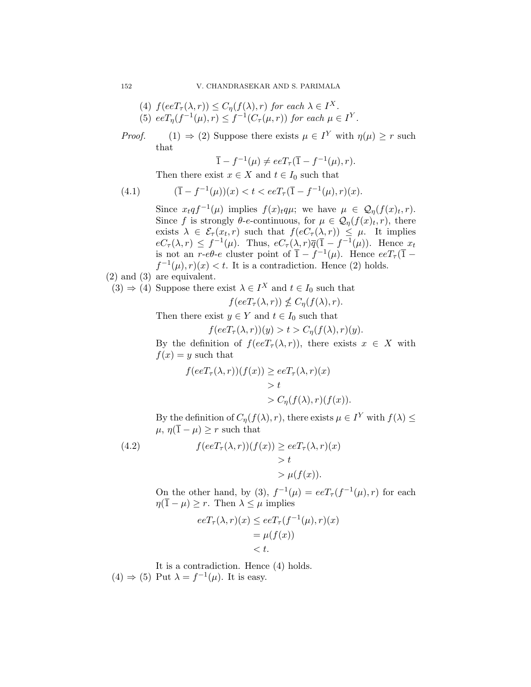(4) 
$$
f(eeT_{\tau}(\lambda, r)) \leq C_{\eta}(f(\lambda), r)
$$
 for each  $\lambda \in I^X$ .  
(5)  $eeT_{\eta}(f^{-1}(\mu), r) \leq f^{-1}(C_{\tau}(\mu, r))$  for each  $\mu \in I^Y$ .

*Proof.* (1)  $\Rightarrow$  (2) Suppose there exists  $\mu \in I^Y$  with  $\eta(\mu) \geq r$  such that

$$
\overline{1} - f^{-1}(\mu) \neq eeT_{\tau}(\overline{1} - f^{-1}(\mu), r).
$$

Then there exist  $x \in X$  and  $t \in I_0$  such that

(4.1) 
$$
(\overline{1} - f^{-1}(\mu))(x) < t < e e T_\tau (\overline{1} - f^{-1}(\mu), r)(x).
$$

Since  $x_t q f^{-1}(\mu)$  implies  $f(x)_t q \mu$ ; we have  $\mu \in \mathcal{Q}_\eta(f(x)_t, r)$ . Since *f* is strongly  $\theta$ -*e*-continuous, for  $\mu \in \mathcal{Q}_{\eta}(f(x)<sub>t</sub>, r)$ , there exists  $\lambda \in \mathcal{E}_{\tau}(x_t, r)$  such that  $f(eC_{\tau}(\lambda, r)) \leq \mu$ . It implies  $eC_{\tau}(\lambda, r) \leq f^{-1}(\mu)$ . Thus,  $eC_{\tau}(\lambda, r)\overline{q}(\overline{1} - f^{-1}(\mu))$ . Hence  $x_t$ is not an *r*- $e\theta$ -*e* cluster point of  $\overline{1} - f^{-1}(\mu)$ . Hence  $eeT_{\tau}(\overline{1} - f^{-1}(\mu))$  $f^{-1}(\mu)$ ,  $r(x) < t$ . It is a contradiction. Hence (2) holds.

- (2) and (3) are equivalent.
- $(3) \Rightarrow (4)$  Suppose there exist  $\lambda \in I^X$  and  $t \in I_0$  such that

$$
f(eeT_{\tau}(\lambda,r)) \nleq C_{\eta}(f(\lambda),r).
$$

Then there exist  $y \in Y$  and  $t \in I_0$  such that

$$
f(eeT_{\tau}(\lambda, r))(y) > t > C_{\eta}(f(\lambda), r)(y).
$$

By the definition of  $f(eeT_{\tau}(\lambda, r))$ , there exists  $x \in X$  with  $f(x) = y$  such that

$$
f(eeT_{\tau}(\lambda, r))(f(x)) \geq eeT_{\tau}(\lambda, r)(x)
$$
  
> t  
> C<sub>*η*</sub> $(f(\lambda), r)(f(x))$ 

By the definition of  $C_{\eta}(f(\lambda), r)$ , there exists  $\mu \in I^Y$  with  $f(\lambda) \leq$  $\mu$ ,  $\eta(\overline{1} - \mu) \geq r$  such that

(4.2) 
$$
f(eeT_{\tau}(\lambda, r))(f(x)) \geq e eT_{\tau}(\lambda, r)(x) > t > \mu(f(x)).
$$

On the other hand, by (3),  $f^{-1}(\mu) = eeT_\tau(f^{-1}(\mu), r)$  for each  $\eta(\overline{1} - \mu) \geq r$ . Then  $\lambda \leq \mu$  implies

$$
eeT_{\tau}(\lambda, r)(x) \le eeT_{\tau}(f^{-1}(\mu), r)(x)
$$
  
=  $\mu(f(x))$   
< t.

It is a contradiction. Hence (4) holds.  $(4) \Rightarrow (5)$  Put  $\lambda = f^{-1}(\mu)$ . It is easy.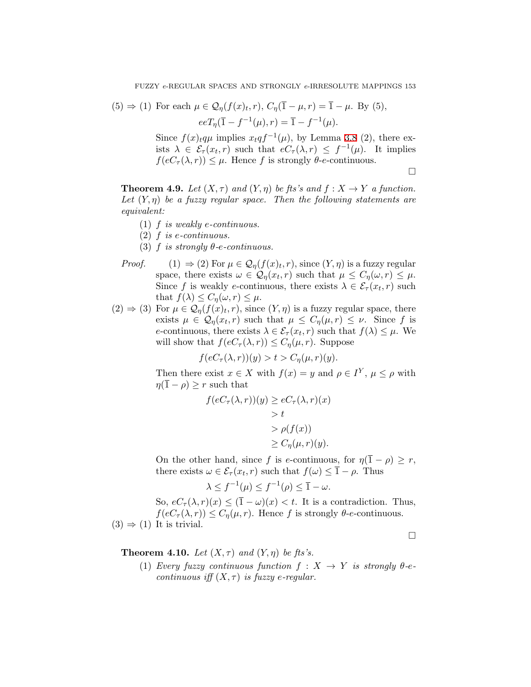(5) 
$$
\Rightarrow
$$
 (1) For each  $\mu \in Q_{\eta}(f(x)_t, r), C_{\eta}(\bar{1} - \mu, r) = \bar{1} - \mu$ . By (5),  

$$
eeT_{\eta}(\bar{1} - f^{-1}(\mu), r) = \bar{1} - f^{-1}(\mu).
$$

Since  $f(x)$ *t* $q\mu$  implies  $x_t q f^{-1}(\mu)$ , by Lemma [3.8](#page-8-0) (2), there exists  $\lambda \in \mathcal{E}_{\tau}(x_t, r)$  such that  $eC_{\tau}(\lambda, r) \leq f^{-1}(\mu)$ . It implies  $f(eC_{\tau}(\lambda, r)) \leq \mu$ . Hence *f* is strongly  $\theta$ -*e*-continuous.

□

**Theorem 4.9.** *Let*  $(X, \tau)$  *and*  $(Y, \eta)$  *be fts's and*  $f: X \to Y$  *a function. Let*  $(Y, \eta)$  *be a fuzzy regular space. Then the following statements are equivalent:*

- (1) *f is weakly e-continuous.*
- (2) *f is e-continuous.*
- (3)  $f$  *is strongly*  $\theta$ *-e-continuous.*
- *Proof.* (1)  $\Rightarrow$  (2) For  $\mu \in \mathcal{Q}_\eta(f(x)_t, r)$ , since  $(Y, \eta)$  is a fuzzy regular space, there exists  $\omega \in \mathcal{Q}_{\eta}(x_t, r)$  such that  $\mu \leq C_{\eta}(\omega, r) \leq \mu$ . Since *f* is weakly *e*-continuous, there exists  $\lambda \in \mathcal{E}_{\tau}(x_t, r)$  such that  $f(\lambda) \leq C_{\eta}(\omega, r) \leq \mu$ .
- $(2) \Rightarrow (3)$  For  $\mu \in \mathcal{Q}_{\eta}(f(x)_{t}, r)$ , since  $(Y, \eta)$  is a fuzzy regular space, there exists  $\mu \in \mathcal{Q}_{\eta}(x_t, r)$  such that  $\mu \leq C_{\eta}(\mu, r) \leq \nu$ . Since f is *e*-continuous, there exists  $\lambda \in \mathcal{E}_{\tau}(x_t, r)$  such that  $f(\lambda) \leq \mu$ . We will show that  $f(eC_{\tau}(\lambda, r)) \leq C_{\eta}(\mu, r)$ . Suppose

$$
f(eC_{\tau}(\lambda, r))(y) > t > C_{\eta}(\mu, r)(y).
$$

Then there exist  $x \in X$  with  $f(x) = y$  and  $\rho \in I^Y$ ,  $\mu \leq \rho$  with  $\eta(\overline{1} - \rho) \geq r$  such that

$$
f(eC_{\tau}(\lambda, r))(y) \ge eC_{\tau}(\lambda, r)(x)
$$
  
> t  
>  $\rho(f(x))$   

$$
\ge C_{\eta}(\mu, r)(y).
$$

On the other hand, since *f* is *e*-continuous, for  $\eta(\overline{1} - \rho) \geq r$ , there exists  $\omega \in \mathcal{E}_{\tau}(x_t, r)$  such that  $f(\omega) \leq \overline{1} - \rho$ . Thus

$$
\lambda \le f^{-1}(\mu) \le f^{-1}(\rho) \le \overline{1} - \omega.
$$

So,  $eC_{\tau}(\lambda, r)(x) \leq (\overline{1} - \omega)(x) < t$ . It is a contradiction. Thus,  $f(eC_{\tau}(\lambda, r)) \leq C_{\eta}(\mu, r)$ . Hence *f* is strongly  $\theta$ -*e*-continuous.  $(3) \Rightarrow (1)$  It is trivial.

**Theorem 4.10.** *Let*  $(X, \tau)$  *and*  $(Y, \eta)$  *be fts's.* 

(1) *Every fuzzy continuous function*  $f : X \rightarrow Y$  *is strongly*  $\theta$ -*econtinuous iff*  $(X, \tau)$  *is fuzzy e-regular.* 

□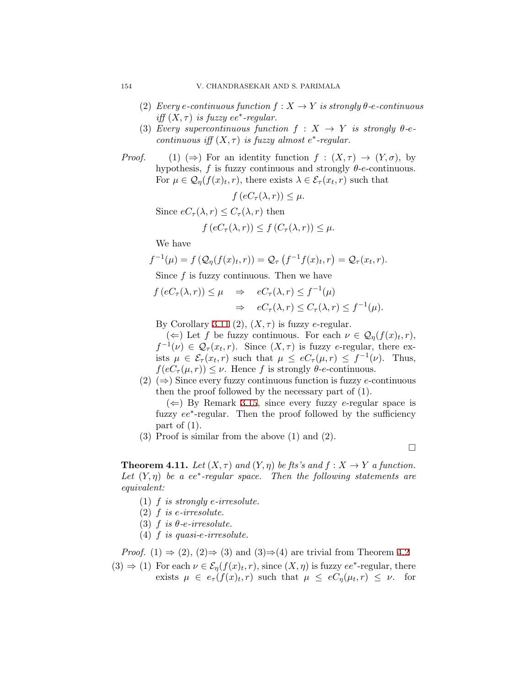- (2) *Every e*-continuous function  $f: X \to Y$  is strongly  $\theta$ -*e*-continuous *iff*  $(X, \tau)$  *is fuzzy*  $ee^*$ -regular.
- (3) *Every supercontinuous function*  $f : X \rightarrow Y$  *is strongly*  $\theta$ -*econtinuous iff*  $(X, \tau)$  *is fuzzy almost*  $e^*$ -regular.
- *Proof.* (1) ( $\Rightarrow$ ) For an identity function  $f : (X, \tau) \to (Y, \sigma)$ , by hypothesis, *f* is fuzzy continuous and strongly *θ*-*e*-continuous. For  $\mu \in \mathcal{Q}_{\eta}(f(x)<sub>t</sub>, r)$ , there exists  $\lambda \in \mathcal{E}_{\tau}(x_t, r)$  such that

 $f(eC_\tau(\lambda, r)) \leq \mu$ .

Since  $eC_{\tau}(\lambda, r) \leq C_{\tau}(\lambda, r)$  then

$$
f\left(eC_{\tau}(\lambda,r)\right) \le f\left(C_{\tau}(\lambda,r)\right) \le \mu.
$$

We have

$$
f^{-1}(\mu) = f\left(\mathcal{Q}_{\eta}(f(x)_t, r)\right) = \mathcal{Q}_{\tau}\left(f^{-1}f(x)_t, r\right) = \mathcal{Q}_{\tau}(x_t, r).
$$

Since *f* is fuzzy continuous. Then we have

$$
f\left(eC_{\tau}(\lambda,r)\right) \leq \mu \quad \Rightarrow \quad eC_{\tau}(\lambda,r) \leq f^{-1}(\mu)
$$

$$
\Rightarrow \quad eC_{\tau}(\lambda,r) \leq C_{\tau}(\lambda,r) \leq f^{-1}(\mu).
$$

By Corollary [3.11](#page-10-1) (2),  $(X, \tau)$  is fuzzy *e*-regular.

 $(\Leftarrow)$  Let *f* be fuzzy continuous. For each  $\nu \in \mathcal{Q}_{\eta}(f(x), r)$ ,  $f^{-1}(\nu) \in \mathcal{Q}_{\tau}(x_t, r)$ . Since  $(X, \tau)$  is fuzzy *e*-regular, there exists  $\mu \in \mathcal{E}_{\tau}(x_t, r)$  such that  $\mu \leq eC_{\tau}(\mu, r) \leq f^{-1}(\nu)$ . Thus,  $f(eC_{\tau}(\mu, r)) \leq \nu$ . Hence *f* is strongly  $\theta$ -*e*-continuous.

(2) (*⇒*) Since every fuzzy continuous function is fuzzy *e*-continuous then the proof followed by the necessary part of (1).

(*⇐*) By Remark [3.15](#page-11-0), since every fuzzy *e*-regular space is fuzzy  $ee^*$ -regular. Then the proof followed by the sufficiency part of  $(1)$ .

(3) Proof is similar from the above (1) and (2).

□

**Theorem 4.11.** *Let*  $(X, \tau)$  *and*  $(Y, \eta)$  *be fts's and*  $f: X \to Y$  *a function.* Let  $(Y, \eta)$  be a  $ee^*$ -regular space. Then the following statements are *equivalent:*

- (1) *f is strongly e-irresolute.*
- (2) *f is e-irresolute.*
- (3)  $f$  *is*  $\theta$ *-e-irresolute.*
- (4) *f is quasi-e-irresolute.*

*Proof.* (1)  $\Rightarrow$  (2), (2) $\Rightarrow$  (3) and (3) $\Rightarrow$  (4) are trivial from Theorem [4.2](#page-13-0)

 $(3) \Rightarrow (1)$  For each  $\nu \in \mathcal{E}_{\eta}(f(x)<sub>t</sub>, r)$ , since  $(X, \eta)$  is fuzzy  $ee^*$ -regular, there exists  $\mu \in e_{\tau}(f(x)<sub>t</sub>, r)$  such that  $\mu \leq eC_{\eta}(\mu_{t}, r) \leq \nu$ . for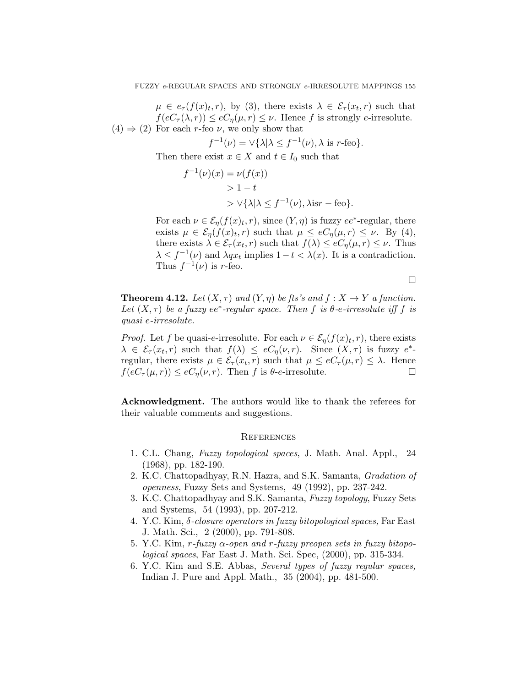$\mu \in e_{\tau}(f(x), r)$ , by (3), there exists  $\lambda \in \mathcal{E}_{\tau}(x_t, r)$  such that  $f(eC_{\tau}(\lambda, r)) \leq eC_{\eta}(\mu, r) \leq \nu$ . Hence *f* is strongly *e*-irresolute.  $(4) \Rightarrow (2)$  For each *r*-feo *v*, we only show that

$$
f^{-1}(\nu) = \vee \{ \lambda | \lambda \le f^{-1}(\nu), \lambda \text{ is } r\text{-feo} \}.
$$

Then there exist  $x \in X$  and  $t \in I_0$  such that

$$
f^{-1}(\nu)(x) = \nu(f(x))
$$
  
> 1 - t  
>  $\sqrt{\lambda} \lambda \le f^{-1}(\nu), \lambda \text{is} r - \text{feo}.$ 

For each  $\nu \in \mathcal{E}_{\eta}(f(x)<sub>t</sub>, r)$ , since  $(Y, \eta)$  is fuzzy  $ee^*$ -regular, there exists  $\mu \in \mathcal{E}_{\eta}(f(x), r)$  such that  $\mu \leq eC_{\eta}(\mu, r) \leq \nu$ . By (4), there exists  $\lambda \in \mathcal{E}_{\tau}(x_t, r)$  such that  $f(\lambda) \leq eC_{\eta}(\mu, r) \leq \nu$ . Thus  $\lambda \leq f^{-1}(\nu)$  and  $\lambda qx_t$  implies  $1 - t < \lambda(x)$ . It is a contradiction. Thus  $f^{-1}(\nu)$  is *r*-feo.

□

**Theorem 4.12.** *Let*  $(X, \tau)$  *and*  $(Y, \eta)$  *be fts's and*  $f : X \to Y$  *a function. Let*  $(X, \tau)$  *be a fuzzy ee<sup>\*</sup>-regular space. Then f is*  $\theta$ -*e*-*irresolute iff f is quasi e-irresolute.*

*Proof.* Let *f* be quasi-*e*-irresolute. For each  $\nu \in \mathcal{E}_{\eta}(f(x)<sub>t</sub>, r)$ , there exists  $\lambda \in \mathcal{E}_{\tau}(x_t, r)$  such that  $f(\lambda) \leq eC_{\eta}(\nu, r)$ . Since  $(X, \tau)$  is fuzzy  $e^*$ regular, there exists  $\mu \in \mathcal{E}_{\tau}(x_t, r)$  such that  $\mu \leq eC_{\tau}(\mu, r) \leq \lambda$ . Hence  $f(eC_{\tau}(\mu, r)) \leq eC_{\eta}(\nu, r)$ . Then *f* is  $\theta$ -*e*-irresolute. □

**Acknowledgment.** The authors would like to thank the referees for their valuable comments and suggestions.

### **REFERENCES**

- <span id="page-20-0"></span>1. C.L. Chang, *Fuzzy topological spaces*, J. Math. Anal. Appl., 24 (1968), pp. 182-190.
- <span id="page-20-1"></span>2. K.C. Chattopadhyay, R.N. Hazra, and S.K. Samanta, *Gradation of openness*, Fuzzy Sets and Systems, 49 (1992), pp. 237-242.
- 3. K.C. Chattopadhyay and S.K. Samanta, *Fuzzy topology*, Fuzzy Sets and Systems, 54 (1993), pp. 207-212.
- <span id="page-20-3"></span>4. Y.C. Kim, *δ-closure operators in fuzzy bitopological spaces,* Far East J. Math. Sci., 2 (2000), pp. 791-808.
- <span id="page-20-4"></span>5. Y.C. Kim, *r-fuzzy α-open and r-fuzzy preopen sets in fuzzy bitopological spaces*, Far East J. Math. Sci. Spec, (2000), pp. 315-334.
- <span id="page-20-2"></span>6. Y.C. Kim and S.E. Abbas, *Several types of fuzzy regular spaces,* Indian J. Pure and Appl. Math., 35 (2004), pp. 481-500.